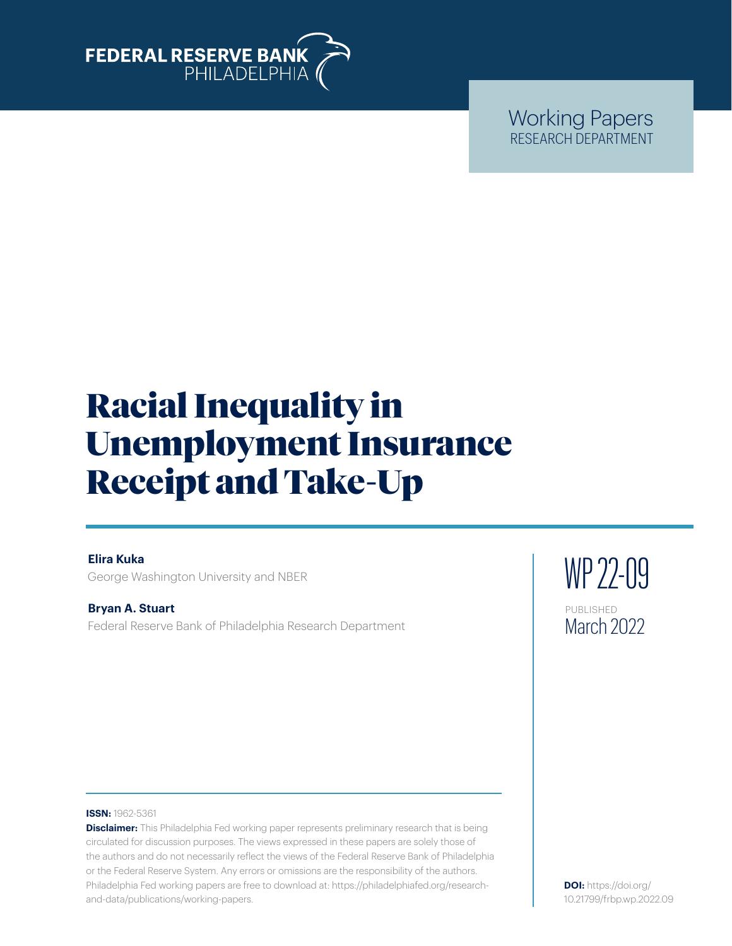

Working Papers RESEARCH DEPARTMENT

# Racial Inequality in Unemployment Insurance Receipt and Take-Up

#### **Elira Kuka**

George Washington University and NBER

**Bryan A. Stuart** Federal Reserve Bank of Philadelphia Research Department WP 22-09 PUBLISHED March 2022

#### **ISSN:** 1962-5361

**Disclaimer:** This Philadelphia Fed working paper represents preliminary research that is being circulated for discussion purposes. The views expressed in these papers are solely those of the authors and do not necessarily reflect the views of the Federal Reserve Bank of Philadelphia or the Federal Reserve System. Any errors or omissions are the responsibility of the authors. Philadelphia Fed working papers are free to download at: [https://philadelphiafed.org/research](https://philadelphiafed.org/research-and-data/publications/working-papers)[and-data/publications/working-papers](https://philadelphiafed.org/research-and-data/publications/working-papers).

**DOI:** [https://doi.org/](https://doi.org/10.21799/frbp.wp.2022.09) [10.21799/frbp.wp.2022.09](https://doi.org/10.21799/frbp.wp.2022.09)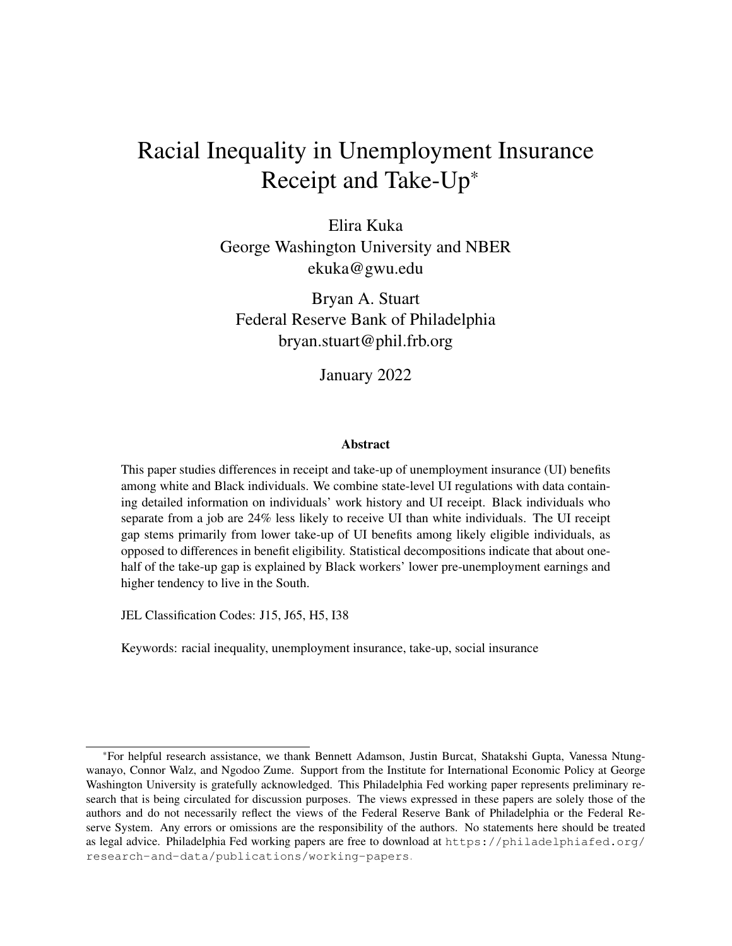### Racial Inequality in Unemployment Insurance Receipt and Take-Up\*

Elira Kuka George Washington University and NBER ekuka@gwu.edu

Bryan A. Stuart Federal Reserve Bank of Philadelphia bryan.stuart@phil.frb.org

January 2022

#### Abstract

This paper studies differences in receipt and take-up of unemployment insurance (UI) benefits among white and Black individuals. We combine state-level UI regulations with data containing detailed information on individuals' work history and UI receipt. Black individuals who separate from a job are 24% less likely to receive UI than white individuals. The UI receipt gap stems primarily from lower take-up of UI benefits among likely eligible individuals, as opposed to differences in benefit eligibility. Statistical decompositions indicate that about onehalf of the take-up gap is explained by Black workers' lower pre-unemployment earnings and higher tendency to live in the South.

JEL Classification Codes: J15, J65, H5, I38

Keywords: racial inequality, unemployment insurance, take-up, social insurance

<sup>\*</sup>For helpful research assistance, we thank Bennett Adamson, Justin Burcat, Shatakshi Gupta, Vanessa Ntungwanayo, Connor Walz, and Ngodoo Zume. Support from the Institute for International Economic Policy at George Washington University is gratefully acknowledged. This Philadelphia Fed working paper represents preliminary research that is being circulated for discussion purposes. The views expressed in these papers are solely those of the authors and do not necessarily reflect the views of the Federal Reserve Bank of Philadelphia or the Federal Reserve System. Any errors or omissions are the responsibility of the authors. No statements here should be treated as legal advice. Philadelphia Fed working papers are free to download at [https://philadelphiafed.org/](https://philadelphiafed.org/research-and-data/publications/working-papers) [research-and-data/publications/working-papers](https://philadelphiafed.org/research-and-data/publications/working-papers).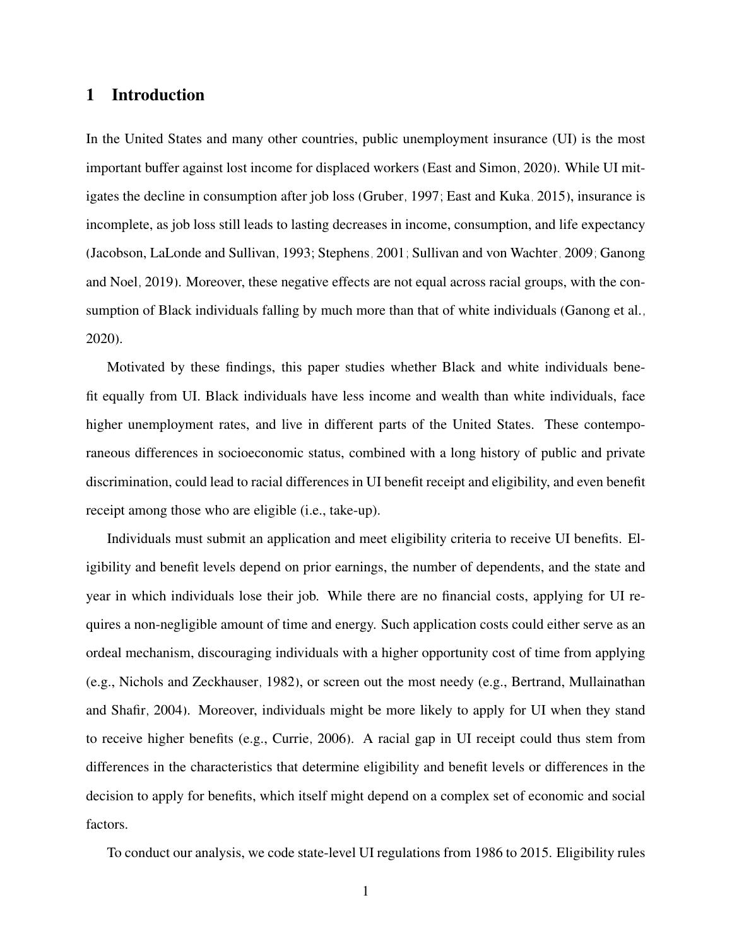#### 1 Introduction

In the United States and many other countries, public unemployment insurance (UI) is the most important buffer against lost income for displaced workers [\(East and Simon, 2020\)](#page-18-0). While UI mitigates the decline in consumption after job loss [\(Gruber, 1997;](#page-18-1) [East and Kuka, 2015\)](#page-18-2), insurance is incomplete, as job loss still leads to lasting decreases in income, consumption, and life expectancy [\(Jacobson, LaLonde and Sullivan, 1993;](#page-19-0) [Stephens, 2001;](#page-19-1) [Sullivan and von Wachter, 2009;](#page-19-2) [Ganong](#page-18-3) [and Noel, 2019\)](#page-18-3). Moreover, these negative effects are not equal across racial groups, with the consumption of Black individuals falling by much more than that of white individuals [\(Ganong et al.,](#page-18-4) [2020\)](#page-18-4).

Motivated by these findings, this paper studies whether Black and white individuals benefit equally from UI. Black individuals have less income and wealth than white individuals, face higher unemployment rates, and live in different parts of the United States. These contemporaneous differences in socioeconomic status, combined with a long history of public and private discrimination, could lead to racial differences in UI benefit receipt and eligibility, and even benefit receipt among those who are eligible (i.e., take-up).

Individuals must submit an application and meet eligibility criteria to receive UI benefits. Eligibility and benefit levels depend on prior earnings, the number of dependents, and the state and year in which individuals lose their job. While there are no financial costs, applying for UI requires a non-negligible amount of time and energy. Such application costs could either serve as an ordeal mechanism, discouraging individuals with a higher opportunity cost of time from applying (e.g., [Nichols and Zeckhauser, 1982\)](#page-19-3), or screen out the most needy (e.g., [Bertrand, Mullainathan](#page-18-5) [and Shafir, 2004\)](#page-18-5). Moreover, individuals might be more likely to apply for UI when they stand to receive higher benefits (e.g., [Currie, 2006\)](#page-18-6). A racial gap in UI receipt could thus stem from differences in the characteristics that determine eligibility and benefit levels or differences in the decision to apply for benefits, which itself might depend on a complex set of economic and social factors.

To conduct our analysis, we code state-level UI regulations from 1986 to 2015. Eligibility rules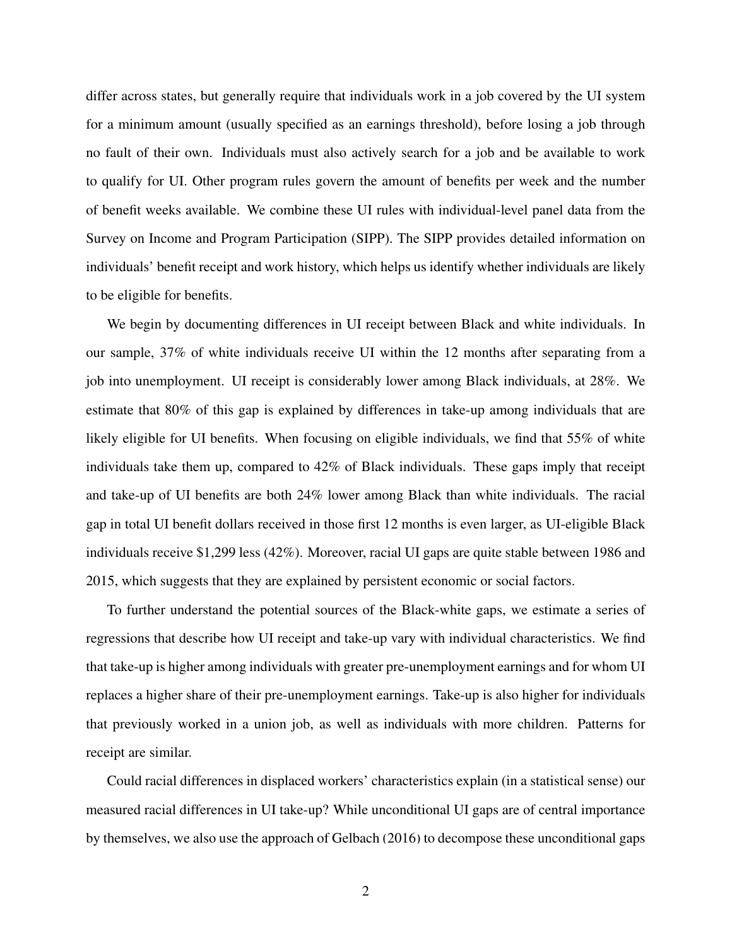differ across states, but generally require that individuals work in a job covered by the UI system for a minimum amount (usually specified as an earnings threshold), before losing a job through no fault of their own. Individuals must also actively search for a job and be available to work to qualify for UI. Other program rules govern the amount of benefits per week and the number of benefit weeks available. We combine these UI rules with individual-level panel data from the Survey on Income and Program Participation (SIPP). The SIPP provides detailed information on individuals' benefit receipt and work history, which helps us identify whether individuals are likely to be eligible for benefits.

We begin by documenting differences in UI receipt between Black and white individuals. In our sample, 37% of white individuals receive UI within the 12 months after separating from a job into unemployment. UI receipt is considerably lower among Black individuals, at 28%. We estimate that 80% of this gap is explained by differences in take-up among individuals that are likely eligible for UI benefits. When focusing on eligible individuals, we find that 55% of white individuals take them up, compared to 42% of Black individuals. These gaps imply that receipt and take-up of UI benefits are both 24% lower among Black than white individuals. The racial gap in total UI benefit dollars received in those first 12 months is even larger, as UI-eligible Black individuals receive \$1,299 less (42%). Moreover, racial UI gaps are quite stable between 1986 and 2015, which suggests that they are explained by persistent economic or social factors.

To further understand the potential sources of the Black-white gaps, we estimate a series of regressions that describe how UI receipt and take-up vary with individual characteristics. We find that take-up is higher among individuals with greater pre-unemployment earnings and for whom UI replaces a higher share of their pre-unemployment earnings. Take-up is also higher for individuals that previously worked in a union job, as well as individuals with more children. Patterns for receipt are similar.

Could racial differences in displaced workers' characteristics explain (in a statistical sense) our measured racial differences in UI take-up? While unconditional UI gaps are of central importance by themselves, we also use the approach of [Gelbach](#page-18-7) [\(2016\)](#page-18-7) to decompose these unconditional gaps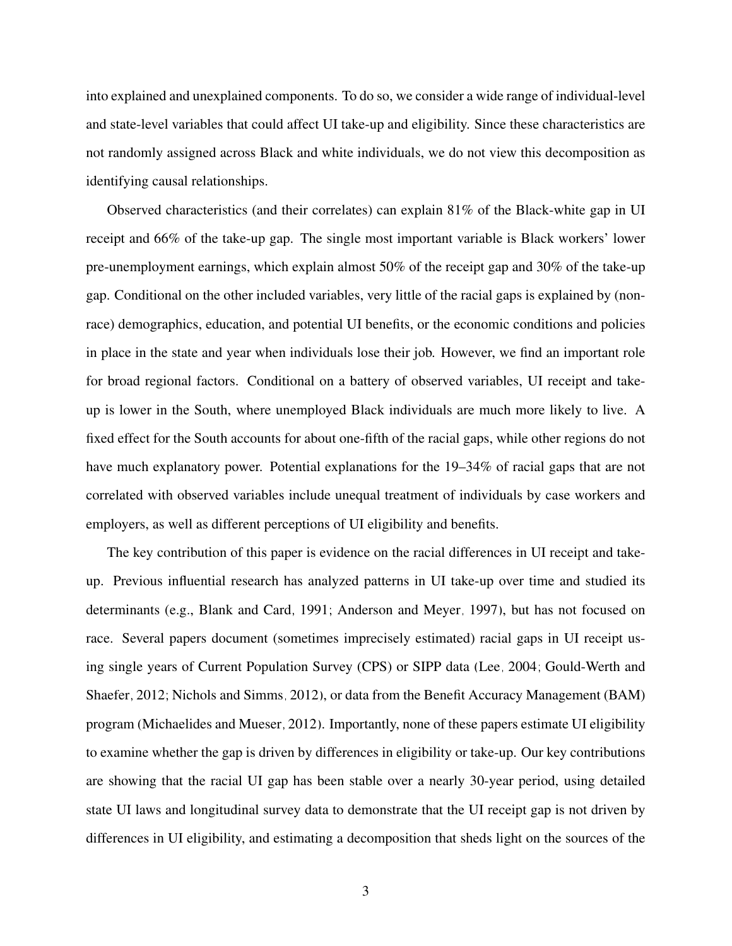into explained and unexplained components. To do so, we consider a wide range of individual-level and state-level variables that could affect UI take-up and eligibility. Since these characteristics are not randomly assigned across Black and white individuals, we do not view this decomposition as identifying causal relationships.

Observed characteristics (and their correlates) can explain 81% of the Black-white gap in UI receipt and 66% of the take-up gap. The single most important variable is Black workers' lower pre-unemployment earnings, which explain almost 50% of the receipt gap and 30% of the take-up gap. Conditional on the other included variables, very little of the racial gaps is explained by (nonrace) demographics, education, and potential UI benefits, or the economic conditions and policies in place in the state and year when individuals lose their job. However, we find an important role for broad regional factors. Conditional on a battery of observed variables, UI receipt and takeup is lower in the South, where unemployed Black individuals are much more likely to live. A fixed effect for the South accounts for about one-fifth of the racial gaps, while other regions do not have much explanatory power. Potential explanations for the 19–34% of racial gaps that are not correlated with observed variables include unequal treatment of individuals by case workers and employers, as well as different perceptions of UI eligibility and benefits.

The key contribution of this paper is evidence on the racial differences in UI receipt and takeup. Previous influential research has analyzed patterns in UI take-up over time and studied its determinants (e.g., [Blank and Card, 1991;](#page-18-8) [Anderson and Meyer, 1997\)](#page-18-9), but has not focused on race. Several papers document (sometimes imprecisely estimated) racial gaps in UI receipt using single years of Current Population Survey (CPS) or SIPP data [\(Lee, 2004;](#page-19-4) [Gould-Werth and](#page-18-10) [Shaefer, 2012;](#page-18-10) [Nichols and Simms, 2012\)](#page-19-5), or data from the Benefit Accuracy Management (BAM) program [\(Michaelides and Mueser, 2012\)](#page-19-6). Importantly, none of these papers estimate UI eligibility to examine whether the gap is driven by differences in eligibility or take-up. Our key contributions are showing that the racial UI gap has been stable over a nearly 30-year period, using detailed state UI laws and longitudinal survey data to demonstrate that the UI receipt gap is not driven by differences in UI eligibility, and estimating a decomposition that sheds light on the sources of the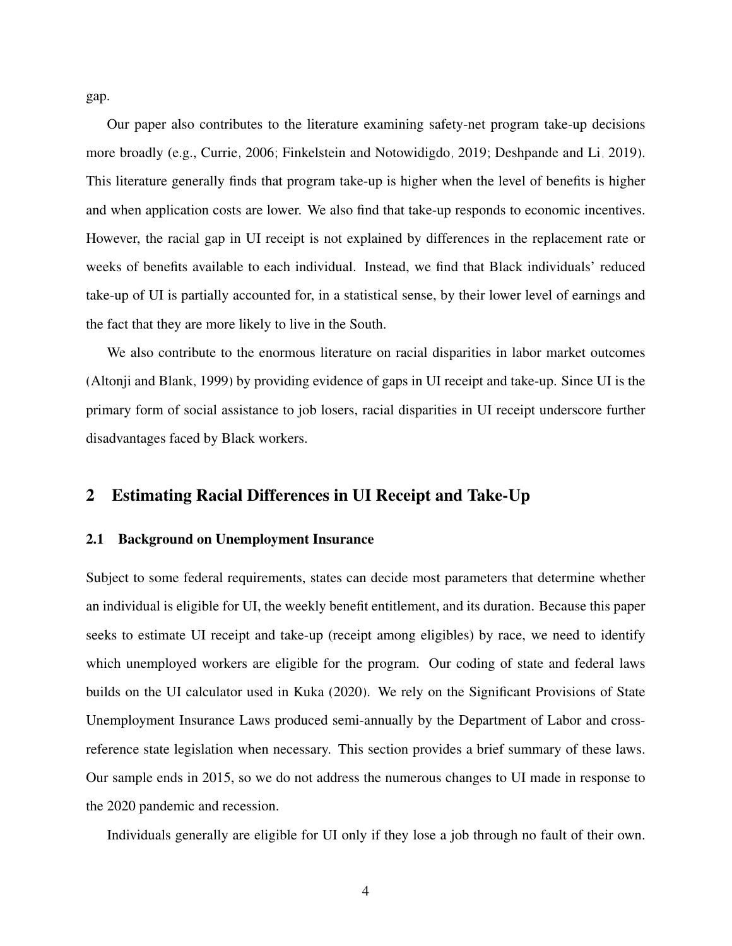gap.

Our paper also contributes to the literature examining safety-net program take-up decisions more broadly (e.g., [Currie, 2006;](#page-18-6) [Finkelstein and Notowidigdo, 2019;](#page-18-11) [Deshpande and Li, 2019\)](#page-18-12). This literature generally finds that program take-up is higher when the level of benefits is higher and when application costs are lower. We also find that take-up responds to economic incentives. However, the racial gap in UI receipt is not explained by differences in the replacement rate or weeks of benefits available to each individual. Instead, we find that Black individuals' reduced take-up of UI is partially accounted for, in a statistical sense, by their lower level of earnings and the fact that they are more likely to live in the South.

We also contribute to the enormous literature on racial disparities in labor market outcomes [\(Altonji and Blank, 1999\)](#page-18-13) by providing evidence of gaps in UI receipt and take-up. Since UI is the primary form of social assistance to job losers, racial disparities in UI receipt underscore further disadvantages faced by Black workers.

#### 2 Estimating Racial Differences in UI Receipt and Take-Up

#### 2.1 Background on Unemployment Insurance

Subject to some federal requirements, states can decide most parameters that determine whether an individual is eligible for UI, the weekly benefit entitlement, and its duration. Because this paper seeks to estimate UI receipt and take-up (receipt among eligibles) by race, we need to identify which unemployed workers are eligible for the program. Our coding of state and federal laws builds on the UI calculator used in [Kuka](#page-19-7) [\(2020\)](#page-19-7). We rely on the Significant Provisions of State Unemployment Insurance Laws produced semi-annually by the Department of Labor and crossreference state legislation when necessary. This section provides a brief summary of these laws. Our sample ends in 2015, so we do not address the numerous changes to UI made in response to the 2020 pandemic and recession.

Individuals generally are eligible for UI only if they lose a job through no fault of their own.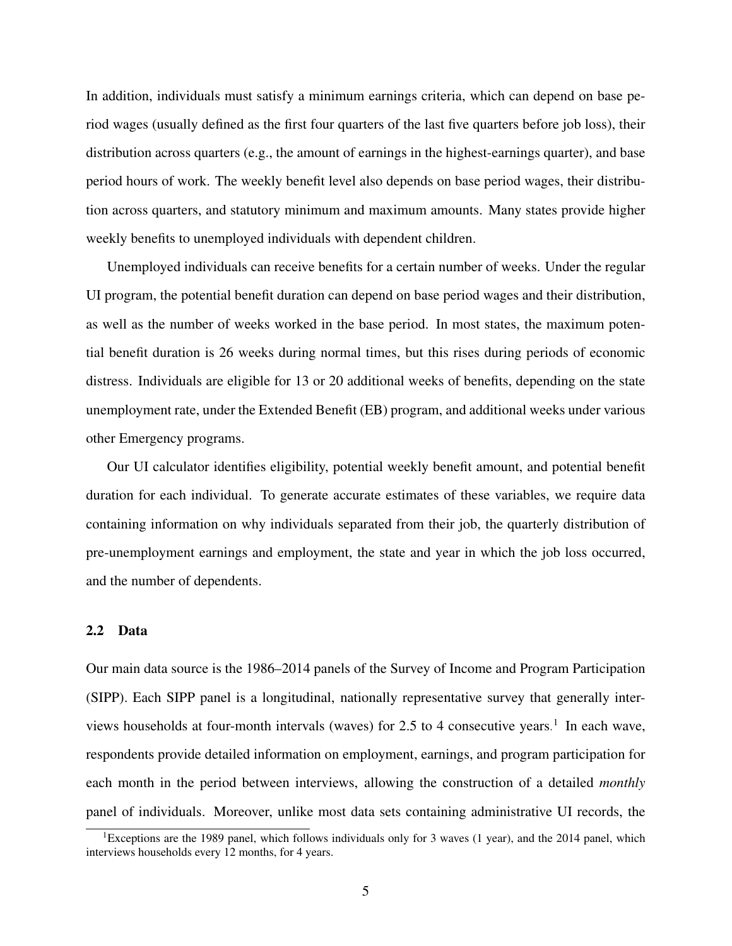In addition, individuals must satisfy a minimum earnings criteria, which can depend on base period wages (usually defined as the first four quarters of the last five quarters before job loss), their distribution across quarters (e.g., the amount of earnings in the highest-earnings quarter), and base period hours of work. The weekly benefit level also depends on base period wages, their distribution across quarters, and statutory minimum and maximum amounts. Many states provide higher weekly benefits to unemployed individuals with dependent children.

Unemployed individuals can receive benefits for a certain number of weeks. Under the regular UI program, the potential benefit duration can depend on base period wages and their distribution, as well as the number of weeks worked in the base period. In most states, the maximum potential benefit duration is 26 weeks during normal times, but this rises during periods of economic distress. Individuals are eligible for 13 or 20 additional weeks of benefits, depending on the state unemployment rate, under the Extended Benefit (EB) program, and additional weeks under various other Emergency programs.

Our UI calculator identifies eligibility, potential weekly benefit amount, and potential benefit duration for each individual. To generate accurate estimates of these variables, we require data containing information on why individuals separated from their job, the quarterly distribution of pre-unemployment earnings and employment, the state and year in which the job loss occurred, and the number of dependents.

#### 2.2 Data

Our main data source is the 1986–2014 panels of the Survey of Income and Program Participation (SIPP). Each SIPP panel is a longitudinal, nationally representative survey that generally inter-views households at four-month intervals (waves) for 2.5 to 4 consecutive years.<sup>[1](#page-6-0)</sup> In each wave, respondents provide detailed information on employment, earnings, and program participation for each month in the period between interviews, allowing the construction of a detailed *monthly* panel of individuals. Moreover, unlike most data sets containing administrative UI records, the

<span id="page-6-0"></span><sup>&</sup>lt;sup>1</sup>Exceptions are the 1989 panel, which follows individuals only for 3 waves (1 year), and the 2014 panel, which interviews households every 12 months, for 4 years.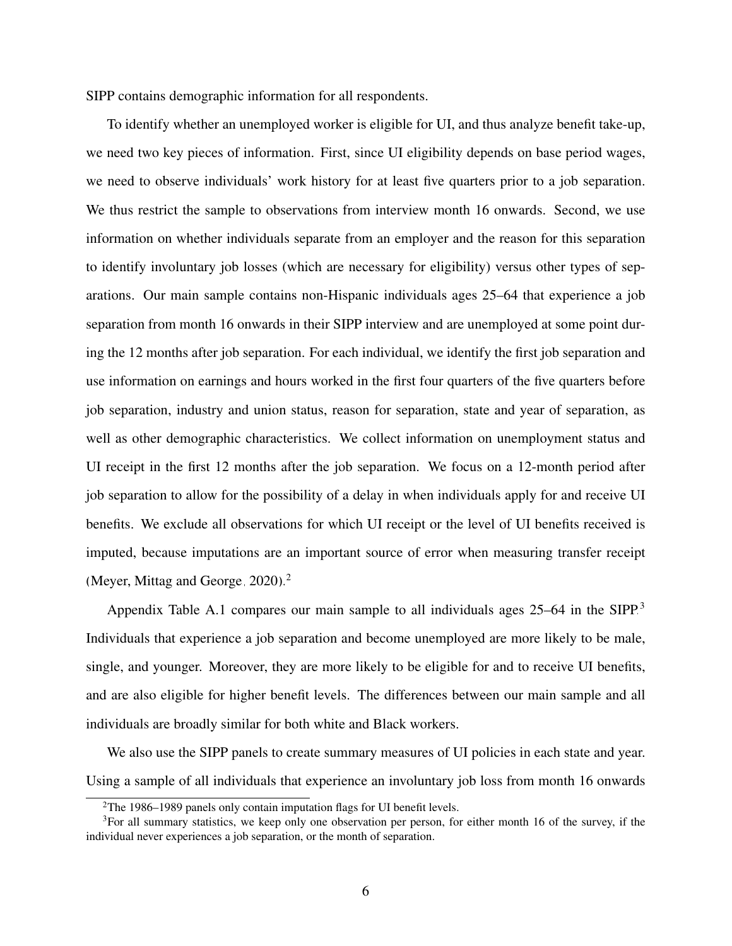SIPP contains demographic information for all respondents.

To identify whether an unemployed worker is eligible for UI, and thus analyze benefit take-up, we need two key pieces of information. First, since UI eligibility depends on base period wages, we need to observe individuals' work history for at least five quarters prior to a job separation. We thus restrict the sample to observations from interview month 16 onwards. Second, we use information on whether individuals separate from an employer and the reason for this separation to identify involuntary job losses (which are necessary for eligibility) versus other types of separations. Our main sample contains non-Hispanic individuals ages 25–64 that experience a job separation from month 16 onwards in their SIPP interview and are unemployed at some point during the 12 months after job separation. For each individual, we identify the first job separation and use information on earnings and hours worked in the first four quarters of the five quarters before job separation, industry and union status, reason for separation, state and year of separation, as well as other demographic characteristics. We collect information on unemployment status and UI receipt in the first 12 months after the job separation. We focus on a 12-month period after job separation to allow for the possibility of a delay in when individuals apply for and receive UI benefits. We exclude all observations for which UI receipt or the level of UI benefits received is imputed, because imputations are an important source of error when measuring transfer receipt [\(Meyer, Mittag and George, 2020\)](#page-19-8).<sup>[2](#page-7-0)</sup>

Appendix Table [A.1](#page-25-0) compares our main sample to all individuals ages 25–64 in the SIPP.<sup>[3](#page-7-1)</sup> Individuals that experience a job separation and become unemployed are more likely to be male, single, and younger. Moreover, they are more likely to be eligible for and to receive UI benefits, and are also eligible for higher benefit levels. The differences between our main sample and all individuals are broadly similar for both white and Black workers.

We also use the SIPP panels to create summary measures of UI policies in each state and year. Using a sample of all individuals that experience an involuntary job loss from month 16 onwards

<span id="page-7-1"></span><span id="page-7-0"></span> $2$ The 1986–1989 panels only contain imputation flags for UI benefit levels.

 $3$ For all summary statistics, we keep only one observation per person, for either month 16 of the survey, if the individual never experiences a job separation, or the month of separation.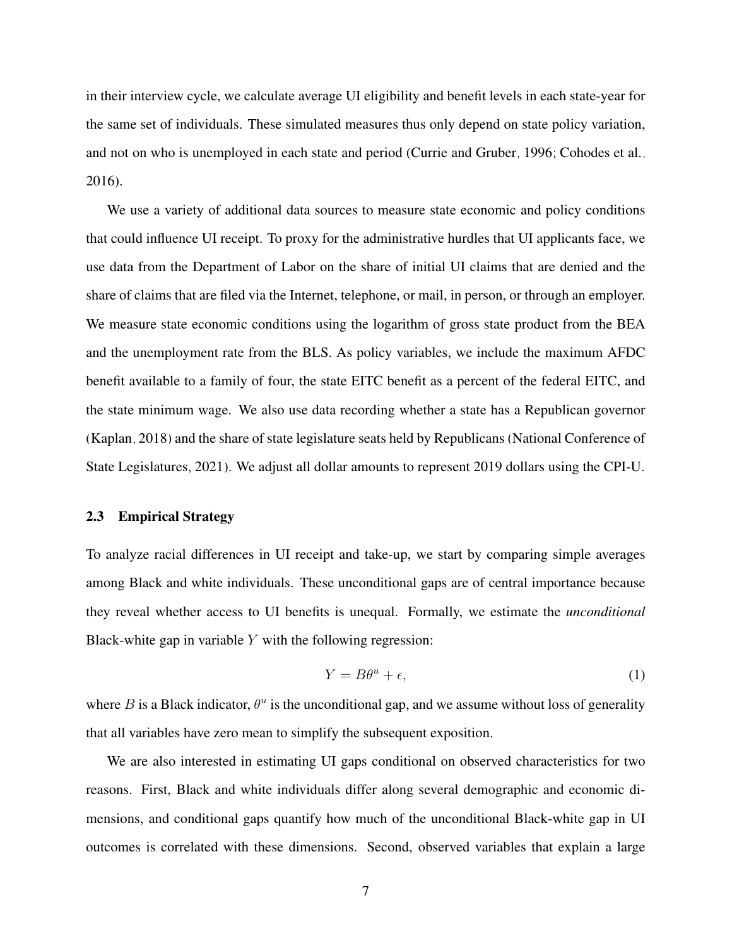in their interview cycle, we calculate average UI eligibility and benefit levels in each state-year for the same set of individuals. These simulated measures thus only depend on state policy variation, and not on who is unemployed in each state and period [\(Currie and Gruber, 1996;](#page-18-14) [Cohodes et al.,](#page-18-15) [2016\)](#page-18-15).

We use a variety of additional data sources to measure state economic and policy conditions that could influence UI receipt. To proxy for the administrative hurdles that UI applicants face, we use data from the Department of Labor on the share of initial UI claims that are denied and the share of claims that are filed via the Internet, telephone, or mail, in person, or through an employer. We measure state economic conditions using the logarithm of gross state product from the BEA and the unemployment rate from the BLS. As policy variables, we include the maximum AFDC benefit available to a family of four, the state EITC benefit as a percent of the federal EITC, and the state minimum wage. We also use data recording whether a state has a Republican governor [\(Kaplan, 2018\)](#page-19-9) and the share of state legislature seats held by Republicans [\(National Conference of](#page-19-10) [State Legislatures, 2021\)](#page-19-10). We adjust all dollar amounts to represent 2019 dollars using the CPI-U.

#### 2.3 Empirical Strategy

To analyze racial differences in UI receipt and take-up, we start by comparing simple averages among Black and white individuals. These unconditional gaps are of central importance because they reveal whether access to UI benefits is unequal. Formally, we estimate the *unconditional* Black-white gap in variable  $Y$  with the following regression:

<span id="page-8-0"></span>
$$
Y = B\theta^u + \epsilon,\tag{1}
$$

where B is a Black indicator,  $\theta^u$  is the unconditional gap, and we assume without loss of generality that all variables have zero mean to simplify the subsequent exposition.

We are also interested in estimating UI gaps conditional on observed characteristics for two reasons. First, Black and white individuals differ along several demographic and economic dimensions, and conditional gaps quantify how much of the unconditional Black-white gap in UI outcomes is correlated with these dimensions. Second, observed variables that explain a large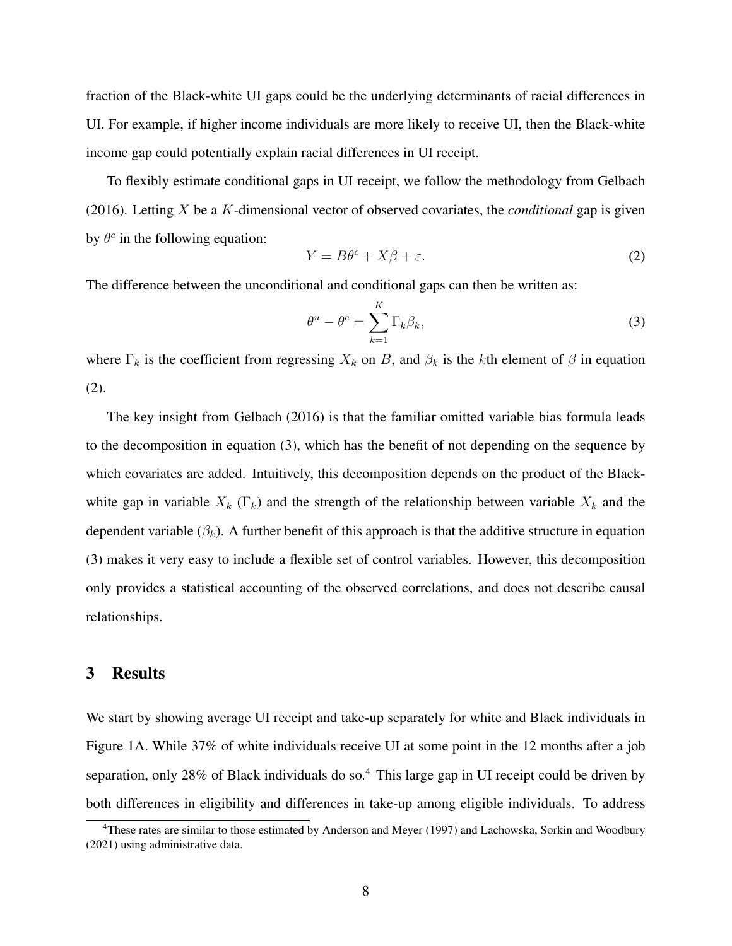fraction of the Black-white UI gaps could be the underlying determinants of racial differences in UI. For example, if higher income individuals are more likely to receive UI, then the Black-white income gap could potentially explain racial differences in UI receipt.

To flexibly estimate conditional gaps in UI receipt, we follow the methodology from [Gelbach](#page-18-7) [\(2016\)](#page-18-7). Letting X be a K-dimensional vector of observed covariates, the *conditional* gap is given by  $\theta^c$  in the following equation:

<span id="page-9-0"></span>
$$
Y = B\theta^c + X\beta + \varepsilon. \tag{2}
$$

The difference between the unconditional and conditional gaps can then be written as:

<span id="page-9-1"></span>
$$
\theta^u - \theta^c = \sum_{k=1}^K \Gamma_k \beta_k,\tag{3}
$$

where  $\Gamma_k$  is the coefficient from regressing  $X_k$  on B, and  $\beta_k$  is the kth element of  $\beta$  in equation [\(2\)](#page-9-0).

The key insight from [Gelbach](#page-18-7) [\(2016\)](#page-18-7) is that the familiar omitted variable bias formula leads to the decomposition in equation [\(3\)](#page-9-1), which has the benefit of not depending on the sequence by which covariates are added. Intuitively, this decomposition depends on the product of the Blackwhite gap in variable  $X_k$  (Γ<sub>k</sub>) and the strength of the relationship between variable  $X_k$  and the dependent variable  $(\beta_k)$ . A further benefit of this approach is that the additive structure in equation [\(3\)](#page-9-1) makes it very easy to include a flexible set of control variables. However, this decomposition only provides a statistical accounting of the observed correlations, and does not describe causal relationships.

#### 3 Results

We start by showing average UI receipt and take-up separately for white and Black individuals in Figure 1A. While 37% of white individuals receive UI at some point in the 12 months after a job separation, only 28% of Black individuals do so.<sup>[4](#page-9-2)</sup> This large gap in UI receipt could be driven by both differences in eligibility and differences in take-up among eligible individuals. To address

<span id="page-9-2"></span><sup>4</sup>These rates are similar to those estimated by [Anderson and Meyer](#page-18-9) [\(1997\)](#page-18-9) and [Lachowska, Sorkin and Woodbury](#page-19-11) [\(2021\)](#page-19-11) using administrative data.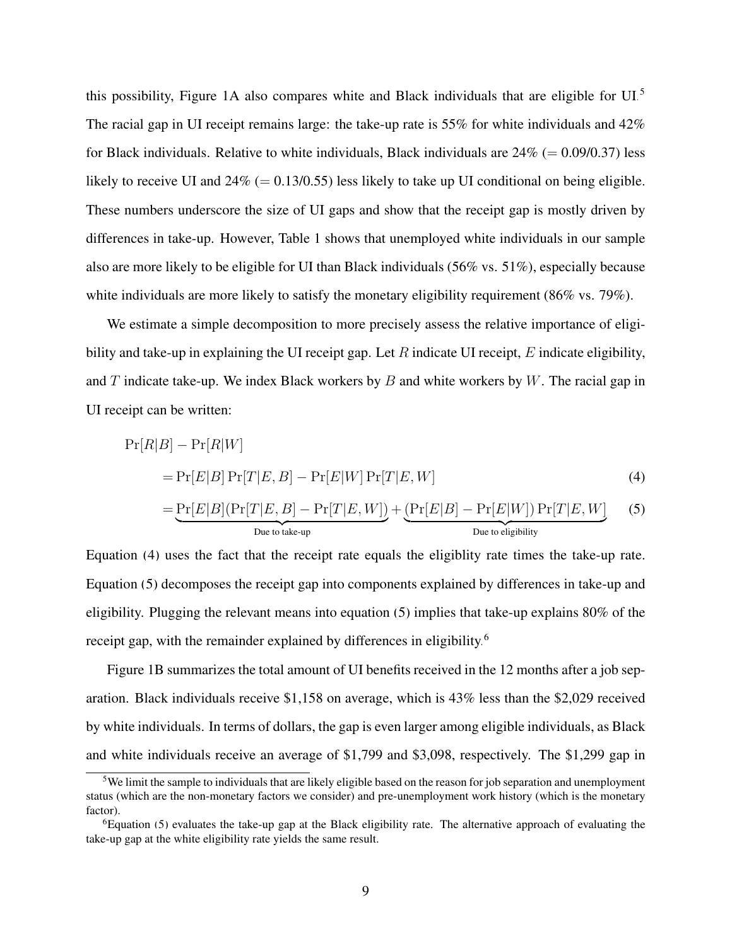this possibility, Figure 1A also compares white and Black individuals that are eligible for UI.[5](#page-10-0) The racial gap in UI receipt remains large: the take-up rate is 55% for white individuals and 42% for Black individuals. Relative to white individuals, Black individuals are  $24\%$  (= 0.09/0.37) less likely to receive UI and  $24\%$  (= 0.13/0.55) less likely to take up UI conditional on being eligible. These numbers underscore the size of UI gaps and show that the receipt gap is mostly driven by differences in take-up. However, Table 1 shows that unemployed white individuals in our sample also are more likely to be eligible for UI than Black individuals (56% vs. 51%), especially because white individuals are more likely to satisfy the monetary eligibility requirement (86% vs. 79%).

We estimate a simple decomposition to more precisely assess the relative importance of eligibility and take-up in explaining the UI receipt gap. Let  $R$  indicate UI receipt,  $E$  indicate eligibility, and T indicate take-up. We index Black workers by  $B$  and white workers by  $W$ . The racial gap in UI receipt can be written:

<span id="page-10-2"></span><span id="page-10-1"></span>
$$
Pr[R|B] - Pr[R|W]
$$
  
= Pr[E|B] Pr[T|E, B] - Pr[E|W] Pr[T|E, W] (4)  
= Pr[E|B] (Pr[T|E, B] - Pr[T|E, W]) + (Pr[E|B] - Pr[E|W]) Pr[T|E, W] (5)  
Due to take-up  
Due to eligibility

Equation [\(4\)](#page-10-1) uses the fact that the receipt rate equals the eligiblity rate times the take-up rate. Equation [\(5\)](#page-10-2) decomposes the receipt gap into components explained by differences in take-up and eligibility. Plugging the relevant means into equation [\(5\)](#page-10-2) implies that take-up explains 80% of the receipt gap, with the remainder explained by differences in eligibility.<sup>[6](#page-10-3)</sup>

Figure 1B summarizes the total amount of UI benefits received in the 12 months after a job separation. Black individuals receive \$1,158 on average, which is 43% less than the \$2,029 received by white individuals. In terms of dollars, the gap is even larger among eligible individuals, as Black and white individuals receive an average of \$1,799 and \$3,098, respectively. The \$1,299 gap in

<span id="page-10-0"></span><sup>&</sup>lt;sup>5</sup>We limit the sample to individuals that are likely eligible based on the reason for job separation and unemployment status (which are the non-monetary factors we consider) and pre-unemployment work history (which is the monetary factor).

<span id="page-10-3"></span> $6E$  Equation [\(5\)](#page-10-2) evaluates the take-up gap at the Black eligibility rate. The alternative approach of evaluating the take-up gap at the white eligibility rate yields the same result.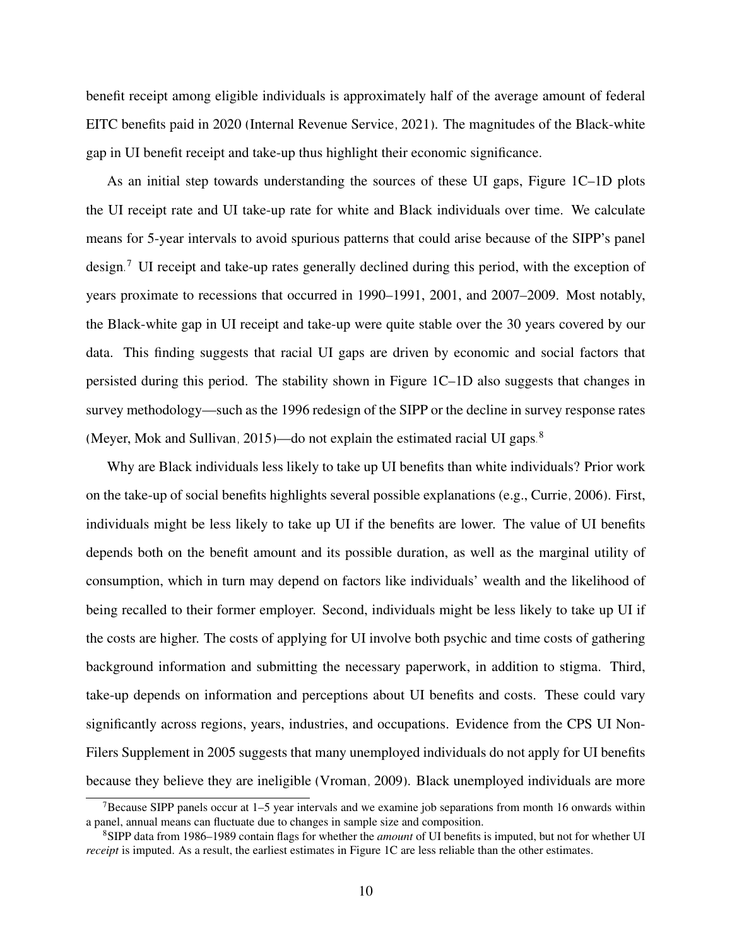benefit receipt among eligible individuals is approximately half of the average amount of federal EITC benefits paid in 2020 [\(Internal Revenue Service, 2021\)](#page-19-12). The magnitudes of the Black-white gap in UI benefit receipt and take-up thus highlight their economic significance.

As an initial step towards understanding the sources of these UI gaps, Figure 1C–1D plots the UI receipt rate and UI take-up rate for white and Black individuals over time. We calculate means for 5-year intervals to avoid spurious patterns that could arise because of the SIPP's panel design.[7](#page-11-0) UI receipt and take-up rates generally declined during this period, with the exception of years proximate to recessions that occurred in 1990–1991, 2001, and 2007–2009. Most notably, the Black-white gap in UI receipt and take-up were quite stable over the 30 years covered by our data. This finding suggests that racial UI gaps are driven by economic and social factors that persisted during this period. The stability shown in Figure 1C–1D also suggests that changes in survey methodology—such as the 1996 redesign of the SIPP or the decline in survey response rates [\(Meyer, Mok and Sullivan, 2015\)](#page-19-13)—do not explain the estimated racial UI gaps.[8](#page-11-1)

Why are Black individuals less likely to take up UI benefits than white individuals? Prior work on the take-up of social benefits highlights several possible explanations (e.g., [Currie, 2006\)](#page-18-6). First, individuals might be less likely to take up UI if the benefits are lower. The value of UI benefits depends both on the benefit amount and its possible duration, as well as the marginal utility of consumption, which in turn may depend on factors like individuals' wealth and the likelihood of being recalled to their former employer. Second, individuals might be less likely to take up UI if the costs are higher. The costs of applying for UI involve both psychic and time costs of gathering background information and submitting the necessary paperwork, in addition to stigma. Third, take-up depends on information and perceptions about UI benefits and costs. These could vary significantly across regions, years, industries, and occupations. Evidence from the CPS UI Non-Filers Supplement in 2005 suggests that many unemployed individuals do not apply for UI benefits because they believe they are ineligible [\(Vroman, 2009\)](#page-19-14). Black unemployed individuals are more

<span id="page-11-0"></span><sup>&</sup>lt;sup>7</sup>Because SIPP panels occur at  $1-5$  year intervals and we examine job separations from month 16 onwards within a panel, annual means can fluctuate due to changes in sample size and composition.

<span id="page-11-1"></span><sup>8</sup>SIPP data from 1986–1989 contain flags for whether the *amount* of UI benefits is imputed, but not for whether UI *receipt* is imputed. As a result, the earliest estimates in Figure 1C are less reliable than the other estimates.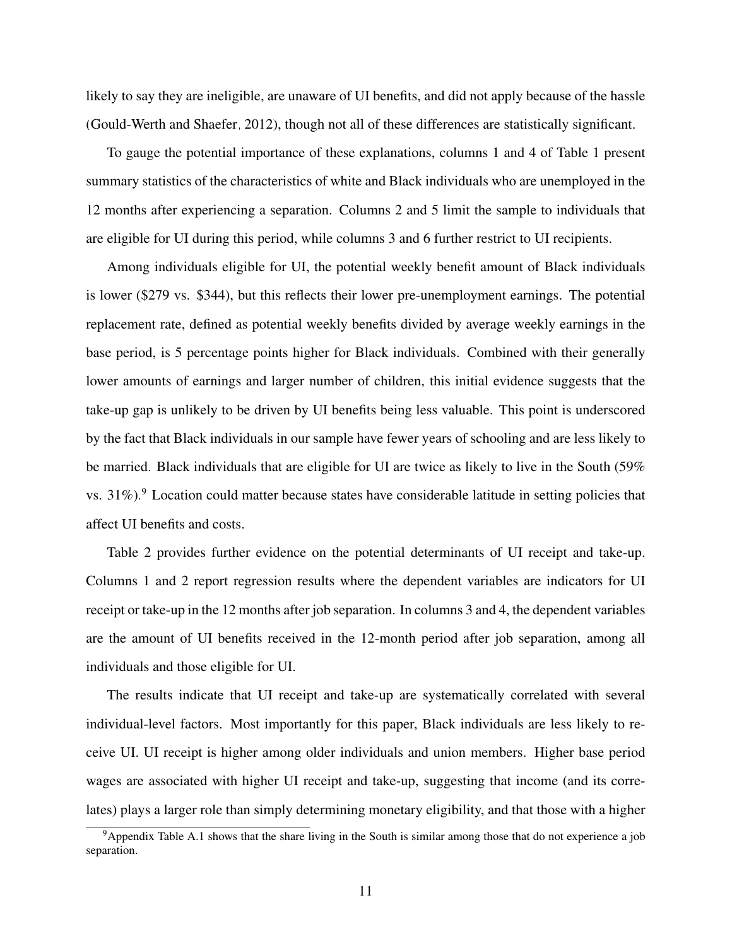likely to say they are ineligible, are unaware of UI benefits, and did not apply because of the hassle [\(Gould-Werth and Shaefer, 2012\)](#page-18-10), though not all of these differences are statistically significant.

To gauge the potential importance of these explanations, columns 1 and 4 of Table 1 present summary statistics of the characteristics of white and Black individuals who are unemployed in the 12 months after experiencing a separation. Columns 2 and 5 limit the sample to individuals that are eligible for UI during this period, while columns 3 and 6 further restrict to UI recipients.

Among individuals eligible for UI, the potential weekly benefit amount of Black individuals is lower (\$279 vs. \$344), but this reflects their lower pre-unemployment earnings. The potential replacement rate, defined as potential weekly benefits divided by average weekly earnings in the base period, is 5 percentage points higher for Black individuals. Combined with their generally lower amounts of earnings and larger number of children, this initial evidence suggests that the take-up gap is unlikely to be driven by UI benefits being less valuable. This point is underscored by the fact that Black individuals in our sample have fewer years of schooling and are less likely to be married. Black individuals that are eligible for UI are twice as likely to live in the South (59% vs. 31%).<sup>[9](#page-12-0)</sup> Location could matter because states have considerable latitude in setting policies that affect UI benefits and costs.

Table 2 provides further evidence on the potential determinants of UI receipt and take-up. Columns 1 and 2 report regression results where the dependent variables are indicators for UI receipt or take-up in the 12 months after job separation. In columns 3 and 4, the dependent variables are the amount of UI benefits received in the 12-month period after job separation, among all individuals and those eligible for UI.

The results indicate that UI receipt and take-up are systematically correlated with several individual-level factors. Most importantly for this paper, Black individuals are less likely to receive UI. UI receipt is higher among older individuals and union members. Higher base period wages are associated with higher UI receipt and take-up, suggesting that income (and its correlates) plays a larger role than simply determining monetary eligibility, and that those with a higher

<span id="page-12-0"></span><sup>9</sup>Appendix Table [A.1](#page-25-0) shows that the share living in the South is similar among those that do not experience a job separation.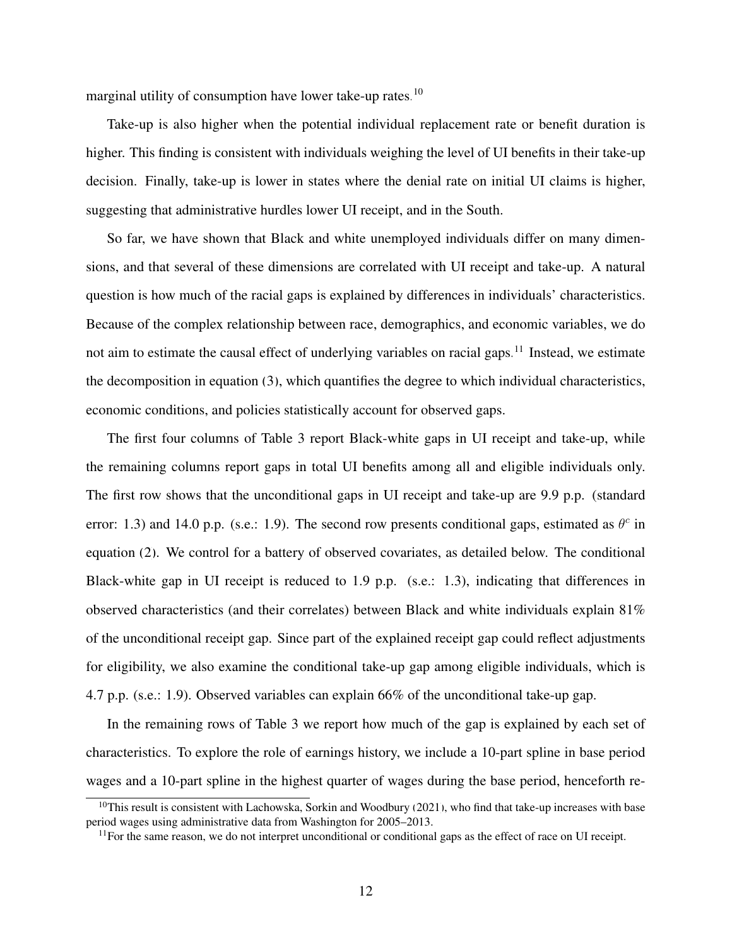marginal utility of consumption have lower take-up rates.<sup>[10](#page-13-0)</sup>

Take-up is also higher when the potential individual replacement rate or benefit duration is higher. This finding is consistent with individuals weighing the level of UI benefits in their take-up decision. Finally, take-up is lower in states where the denial rate on initial UI claims is higher, suggesting that administrative hurdles lower UI receipt, and in the South.

So far, we have shown that Black and white unemployed individuals differ on many dimensions, and that several of these dimensions are correlated with UI receipt and take-up. A natural question is how much of the racial gaps is explained by differences in individuals' characteristics. Because of the complex relationship between race, demographics, and economic variables, we do not aim to estimate the causal effect of underlying variables on racial gaps.<sup>[11](#page-13-1)</sup> Instead, we estimate the decomposition in equation [\(3\)](#page-9-1), which quantifies the degree to which individual characteristics, economic conditions, and policies statistically account for observed gaps.

The first four columns of Table 3 report Black-white gaps in UI receipt and take-up, while the remaining columns report gaps in total UI benefits among all and eligible individuals only. The first row shows that the unconditional gaps in UI receipt and take-up are 9.9 p.p. (standard error: 1.3) and 14.0 p.p. (s.e.: 1.9). The second row presents conditional gaps, estimated as  $\theta^c$  in equation [\(2\)](#page-9-0). We control for a battery of observed covariates, as detailed below. The conditional Black-white gap in UI receipt is reduced to 1.9 p.p. (s.e.: 1.3), indicating that differences in observed characteristics (and their correlates) between Black and white individuals explain 81% of the unconditional receipt gap. Since part of the explained receipt gap could reflect adjustments for eligibility, we also examine the conditional take-up gap among eligible individuals, which is 4.7 p.p. (s.e.: 1.9). Observed variables can explain 66% of the unconditional take-up gap.

In the remaining rows of Table 3 we report how much of the gap is explained by each set of characteristics. To explore the role of earnings history, we include a 10-part spline in base period wages and a 10-part spline in the highest quarter of wages during the base period, henceforth re-

<span id="page-13-0"></span> $10$ This result is consistent with [Lachowska, Sorkin and Woodbury](#page-19-11) [\(2021\)](#page-19-11), who find that take-up increases with base period wages using administrative data from Washington for 2005–2013.

<span id="page-13-1"></span><sup>&</sup>lt;sup>11</sup>For the same reason, we do not interpret unconditional or conditional gaps as the effect of race on UI receipt.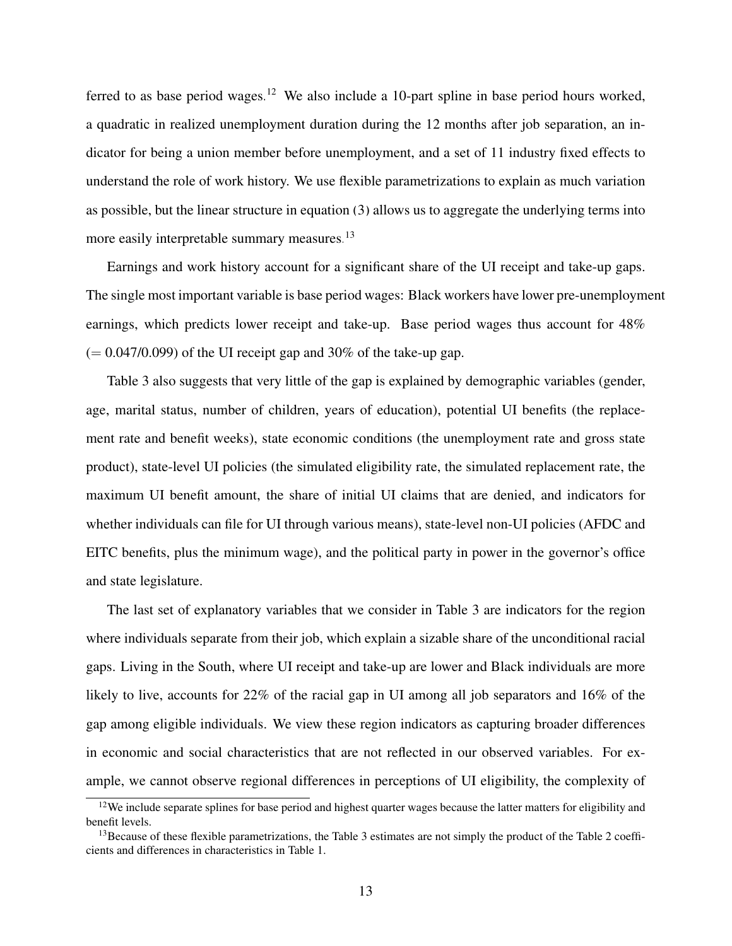ferred to as base period wages.<sup>[12](#page-14-0)</sup> We also include a 10-part spline in base period hours worked, a quadratic in realized unemployment duration during the 12 months after job separation, an indicator for being a union member before unemployment, and a set of 11 industry fixed effects to understand the role of work history. We use flexible parametrizations to explain as much variation as possible, but the linear structure in equation [\(3\)](#page-9-1) allows us to aggregate the underlying terms into more easily interpretable summary measures.<sup>[13](#page-14-1)</sup>

Earnings and work history account for a significant share of the UI receipt and take-up gaps. The single most important variable is base period wages: Black workers have lower pre-unemployment earnings, which predicts lower receipt and take-up. Base period wages thus account for 48%  $(= 0.047/0.099)$  of the UI receipt gap and 30% of the take-up gap.

Table 3 also suggests that very little of the gap is explained by demographic variables (gender, age, marital status, number of children, years of education), potential UI benefits (the replacement rate and benefit weeks), state economic conditions (the unemployment rate and gross state product), state-level UI policies (the simulated eligibility rate, the simulated replacement rate, the maximum UI benefit amount, the share of initial UI claims that are denied, and indicators for whether individuals can file for UI through various means), state-level non-UI policies (AFDC and EITC benefits, plus the minimum wage), and the political party in power in the governor's office and state legislature.

The last set of explanatory variables that we consider in Table 3 are indicators for the region where individuals separate from their job, which explain a sizable share of the unconditional racial gaps. Living in the South, where UI receipt and take-up are lower and Black individuals are more likely to live, accounts for 22% of the racial gap in UI among all job separators and 16% of the gap among eligible individuals. We view these region indicators as capturing broader differences in economic and social characteristics that are not reflected in our observed variables. For example, we cannot observe regional differences in perceptions of UI eligibility, the complexity of

<span id="page-14-0"></span><sup>&</sup>lt;sup>12</sup>We include separate splines for base period and highest quarter wages because the latter matters for eligibility and benefit levels.

<span id="page-14-1"></span><sup>&</sup>lt;sup>13</sup>Because of these flexible parametrizations, the Table 3 estimates are not simply the product of the Table 2 coefficients and differences in characteristics in Table 1.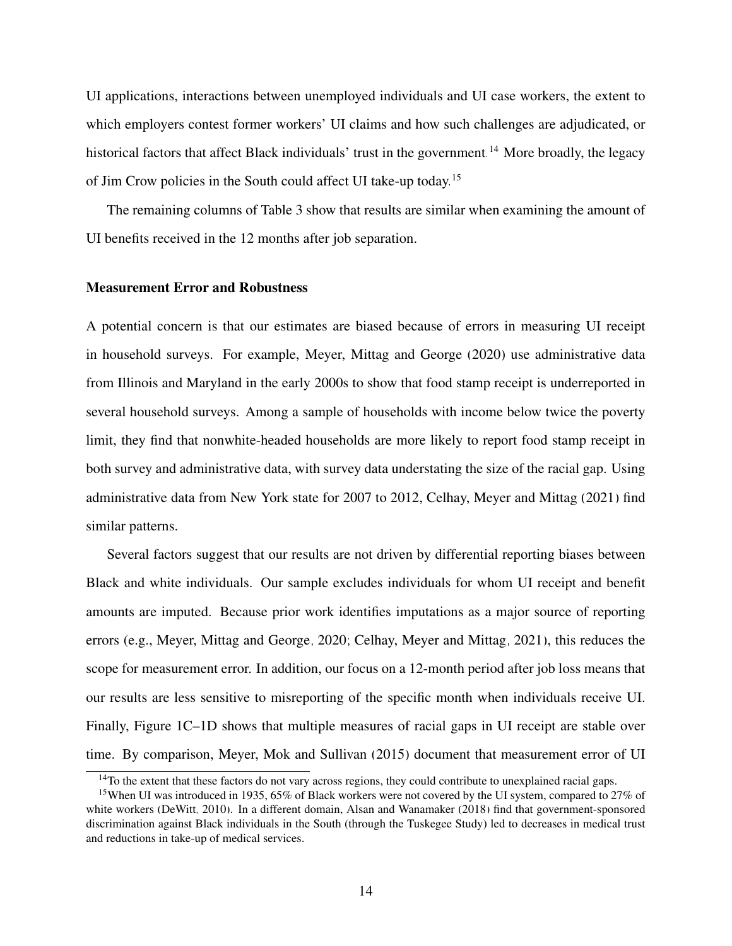UI applications, interactions between unemployed individuals and UI case workers, the extent to which employers contest former workers' UI claims and how such challenges are adjudicated, or historical factors that affect Black individuals' trust in the government.<sup>[14](#page-15-0)</sup> More broadly, the legacy of Jim Crow policies in the South could affect UI take-up today.[15](#page-15-1)

The remaining columns of Table 3 show that results are similar when examining the amount of UI benefits received in the 12 months after job separation.

#### Measurement Error and Robustness

A potential concern is that our estimates are biased because of errors in measuring UI receipt in household surveys. For example, [Meyer, Mittag and George](#page-19-8) [\(2020\)](#page-19-8) use administrative data from Illinois and Maryland in the early 2000s to show that food stamp receipt is underreported in several household surveys. Among a sample of households with income below twice the poverty limit, they find that nonwhite-headed households are more likely to report food stamp receipt in both survey and administrative data, with survey data understating the size of the racial gap. Using administrative data from New York state for 2007 to 2012, [Celhay, Meyer and Mittag](#page-18-16) [\(2021\)](#page-18-16) find similar patterns.

Several factors suggest that our results are not driven by differential reporting biases between Black and white individuals. Our sample excludes individuals for whom UI receipt and benefit amounts are imputed. Because prior work identifies imputations as a major source of reporting errors (e.g., [Meyer, Mittag and George, 2020;](#page-19-8) [Celhay, Meyer and Mittag, 2021\)](#page-18-16), this reduces the scope for measurement error. In addition, our focus on a 12-month period after job loss means that our results are less sensitive to misreporting of the specific month when individuals receive UI. Finally, Figure 1C–1D shows that multiple measures of racial gaps in UI receipt are stable over time. By comparison, [Meyer, Mok and Sullivan](#page-19-13) [\(2015\)](#page-19-13) document that measurement error of UI

<span id="page-15-1"></span><span id="page-15-0"></span><sup>&</sup>lt;sup>14</sup>To the extent that these factors do not vary across regions, they could contribute to unexplained racial gaps.

<sup>15</sup>When UI was introduced in 1935, 65% of Black workers were not covered by the UI system, compared to 27% of white workers [\(DeWitt, 2010\)](#page-18-17). In a different domain, [Alsan and Wanamaker](#page-18-18) [\(2018\)](#page-18-18) find that government-sponsored discrimination against Black individuals in the South (through the Tuskegee Study) led to decreases in medical trust and reductions in take-up of medical services.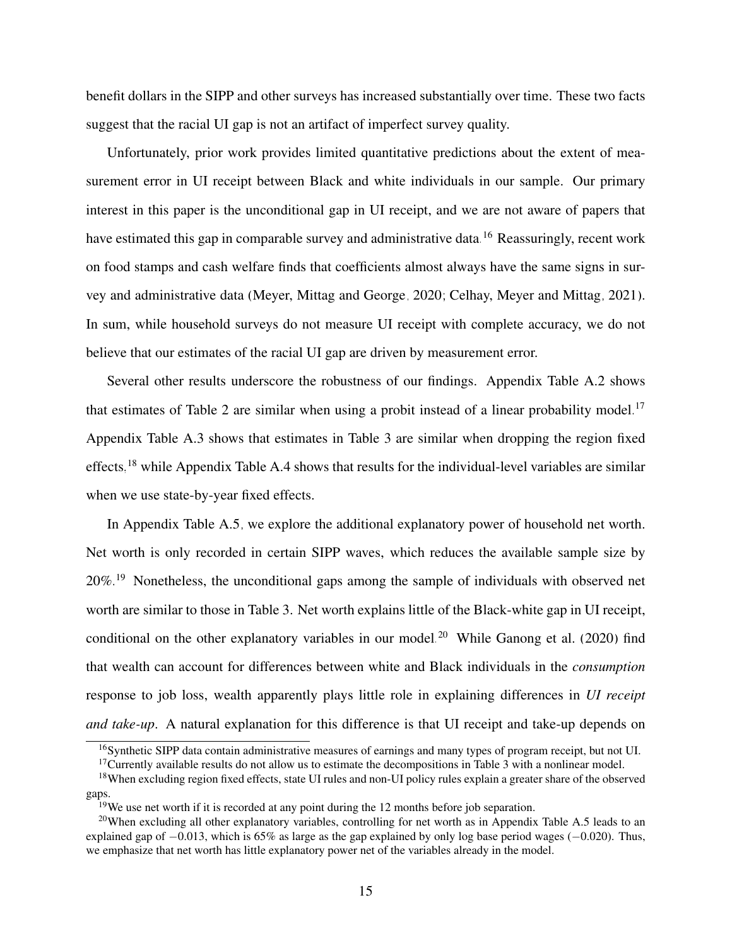benefit dollars in the SIPP and other surveys has increased substantially over time. These two facts suggest that the racial UI gap is not an artifact of imperfect survey quality.

Unfortunately, prior work provides limited quantitative predictions about the extent of measurement error in UI receipt between Black and white individuals in our sample. Our primary interest in this paper is the unconditional gap in UI receipt, and we are not aware of papers that have estimated this gap in comparable survey and administrative data.<sup>[16](#page-16-0)</sup> Reassuringly, recent work on food stamps and cash welfare finds that coefficients almost always have the same signs in survey and administrative data [\(Meyer, Mittag and George, 2020;](#page-19-8) [Celhay, Meyer and Mittag, 2021\)](#page-18-16). In sum, while household surveys do not measure UI receipt with complete accuracy, we do not believe that our estimates of the racial UI gap are driven by measurement error.

Several other results underscore the robustness of our findings. Appendix Table [A.2](#page-26-0) shows that estimates of Table 2 are similar when using a probit instead of a linear probability model.<sup>[17](#page-16-1)</sup> Appendix Table [A.3](#page-27-0) shows that estimates in Table 3 are similar when dropping the region fixed effects,<sup>[18](#page-16-2)</sup> while Appendix Table [A.4](#page-28-0) shows that results for the individual-level variables are similar when we use state-by-year fixed effects.

In Appendix Table [A.5,](#page-29-0) we explore the additional explanatory power of household net worth. Net worth is only recorded in certain SIPP waves, which reduces the available sample size by 20%.[19](#page-16-3) Nonetheless, the unconditional gaps among the sample of individuals with observed net worth are similar to those in Table 3. Net worth explains little of the Black-white gap in UI receipt, conditional on the other explanatory variables in our model.<sup>[20](#page-16-4)</sup> While [Ganong et al.](#page-18-4) [\(2020\)](#page-18-4) find that wealth can account for differences between white and Black individuals in the *consumption* response to job loss, wealth apparently plays little role in explaining differences in *UI receipt and take-up*. A natural explanation for this difference is that UI receipt and take-up depends on

<span id="page-16-0"></span><sup>16</sup>Synthetic SIPP data contain administrative measures of earnings and many types of program receipt, but not UI.

<span id="page-16-2"></span><span id="page-16-1"></span> $17$ Currently available results do not allow us to estimate the decompositions in Table 3 with a nonlinear model.

<sup>&</sup>lt;sup>18</sup>When excluding region fixed effects, state UI rules and non-UI policy rules explain a greater share of the observed gaps.

<span id="page-16-4"></span><span id="page-16-3"></span> $19$ We use net worth if it is recorded at any point during the 12 months before job separation.

<sup>&</sup>lt;sup>20</sup>When excluding all other explanatory variables, controlling for net worth as in Appendix Table [A.5](#page-29-0) leads to an explained gap of  $-0.013$ , which is 65% as large as the gap explained by only log base period wages ( $-0.020$ ). Thus, we emphasize that net worth has little explanatory power net of the variables already in the model.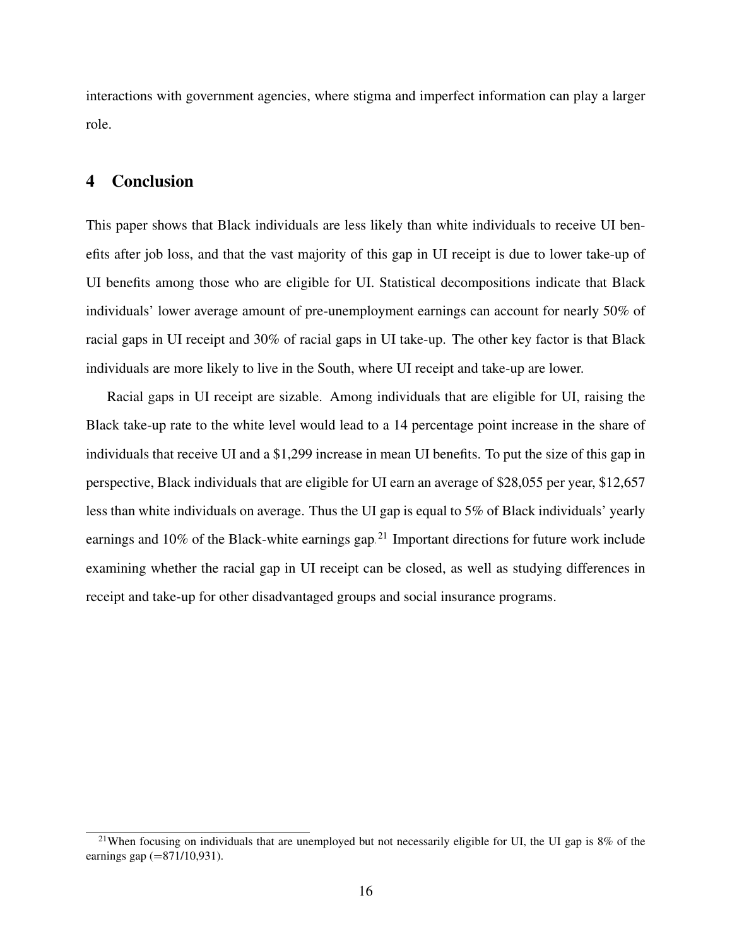interactions with government agencies, where stigma and imperfect information can play a larger role.

#### 4 Conclusion

This paper shows that Black individuals are less likely than white individuals to receive UI benefits after job loss, and that the vast majority of this gap in UI receipt is due to lower take-up of UI benefits among those who are eligible for UI. Statistical decompositions indicate that Black individuals' lower average amount of pre-unemployment earnings can account for nearly 50% of racial gaps in UI receipt and 30% of racial gaps in UI take-up. The other key factor is that Black individuals are more likely to live in the South, where UI receipt and take-up are lower.

Racial gaps in UI receipt are sizable. Among individuals that are eligible for UI, raising the Black take-up rate to the white level would lead to a 14 percentage point increase in the share of individuals that receive UI and a \$1,299 increase in mean UI benefits. To put the size of this gap in perspective, Black individuals that are eligible for UI earn an average of \$28,055 per year, \$12,657 less than white individuals on average. Thus the UI gap is equal to 5% of Black individuals' yearly earnings and 10% of the Black-white earnings gap.<sup>[21](#page-17-0)</sup> Important directions for future work include examining whether the racial gap in UI receipt can be closed, as well as studying differences in receipt and take-up for other disadvantaged groups and social insurance programs.

<span id="page-17-0"></span><sup>&</sup>lt;sup>21</sup>When focusing on individuals that are unemployed but not necessarily eligible for UI, the UI gap is 8% of the earnings gap  $(=871/10,931)$ .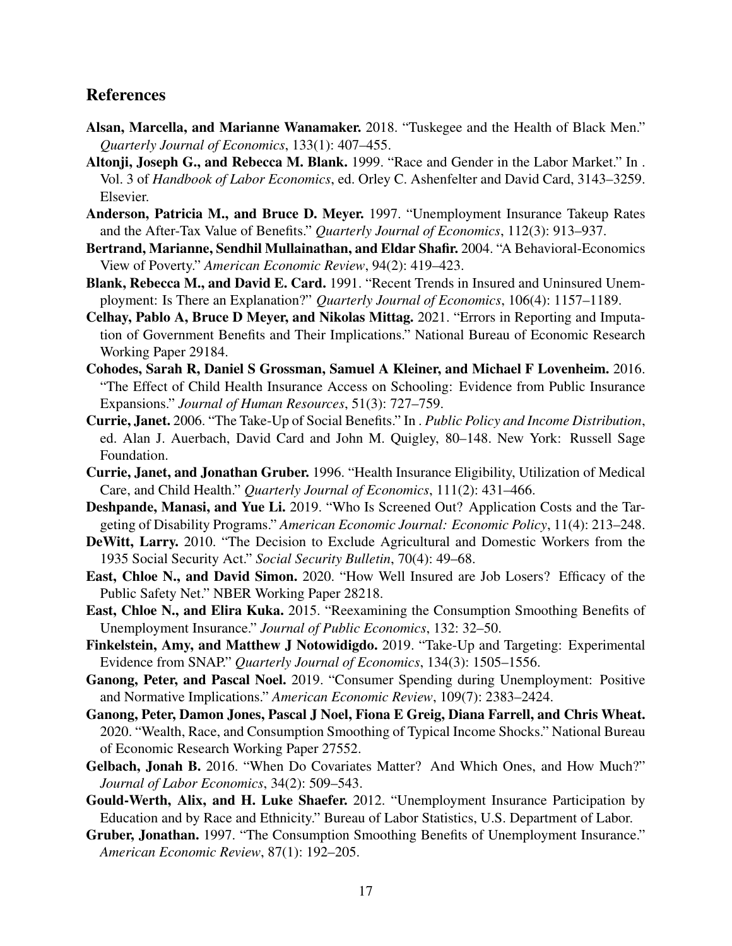#### References

- <span id="page-18-18"></span>Alsan, Marcella, and Marianne Wanamaker. 2018. "Tuskegee and the Health of Black Men." *Quarterly Journal of Economics*, 133(1): 407–455.
- <span id="page-18-13"></span>Altonji, Joseph G., and Rebecca M. Blank. 1999. "Race and Gender in the Labor Market." In . Vol. 3 of *Handbook of Labor Economics*, ed. Orley C. Ashenfelter and David Card, 3143–3259. Elsevier.
- <span id="page-18-9"></span>Anderson, Patricia M., and Bruce D. Meyer. 1997. "Unemployment Insurance Takeup Rates and the After-Tax Value of Benefits." *Quarterly Journal of Economics*, 112(3): 913–937.
- <span id="page-18-5"></span>Bertrand, Marianne, Sendhil Mullainathan, and Eldar Shafir. 2004. "A Behavioral-Economics View of Poverty." *American Economic Review*, 94(2): 419–423.
- <span id="page-18-8"></span>Blank, Rebecca M., and David E. Card. 1991. "Recent Trends in Insured and Uninsured Unemployment: Is There an Explanation?" *Quarterly Journal of Economics*, 106(4): 1157–1189.
- <span id="page-18-16"></span>Celhay, Pablo A, Bruce D Meyer, and Nikolas Mittag. 2021. "Errors in Reporting and Imputation of Government Benefits and Their Implications." National Bureau of Economic Research Working Paper 29184.
- <span id="page-18-15"></span>Cohodes, Sarah R, Daniel S Grossman, Samuel A Kleiner, and Michael F Lovenheim. 2016. "The Effect of Child Health Insurance Access on Schooling: Evidence from Public Insurance Expansions." *Journal of Human Resources*, 51(3): 727–759.
- <span id="page-18-6"></span>Currie, Janet. 2006. "The Take-Up of Social Benefits." In . *Public Policy and Income Distribution*, ed. Alan J. Auerbach, David Card and John M. Quigley, 80–148. New York: Russell Sage Foundation.
- <span id="page-18-14"></span>Currie, Janet, and Jonathan Gruber. 1996. "Health Insurance Eligibility, Utilization of Medical Care, and Child Health." *Quarterly Journal of Economics*, 111(2): 431–466.
- <span id="page-18-12"></span>Deshpande, Manasi, and Yue Li. 2019. "Who Is Screened Out? Application Costs and the Targeting of Disability Programs." *American Economic Journal: Economic Policy*, 11(4): 213–248.
- <span id="page-18-17"></span>DeWitt, Larry. 2010. "The Decision to Exclude Agricultural and Domestic Workers from the 1935 Social Security Act." *Social Security Bulletin*, 70(4): 49–68.
- <span id="page-18-0"></span>East, Chloe N., and David Simon. 2020. "How Well Insured are Job Losers? Efficacy of the Public Safety Net." NBER Working Paper 28218.
- <span id="page-18-2"></span>East, Chloe N., and Elira Kuka. 2015. "Reexamining the Consumption Smoothing Benefits of Unemployment Insurance." *Journal of Public Economics*, 132: 32–50.
- <span id="page-18-11"></span>Finkelstein, Amy, and Matthew J Notowidigdo. 2019. "Take-Up and Targeting: Experimental Evidence from SNAP." *Quarterly Journal of Economics*, 134(3): 1505–1556.
- <span id="page-18-3"></span>Ganong, Peter, and Pascal Noel. 2019. "Consumer Spending during Unemployment: Positive and Normative Implications." *American Economic Review*, 109(7): 2383–2424.
- <span id="page-18-4"></span>Ganong, Peter, Damon Jones, Pascal J Noel, Fiona E Greig, Diana Farrell, and Chris Wheat. 2020. "Wealth, Race, and Consumption Smoothing of Typical Income Shocks." National Bureau of Economic Research Working Paper 27552.
- <span id="page-18-7"></span>Gelbach, Jonah B. 2016. "When Do Covariates Matter? And Which Ones, and How Much?" *Journal of Labor Economics*, 34(2): 509–543.
- <span id="page-18-10"></span>Gould-Werth, Alix, and H. Luke Shaefer. 2012. "Unemployment Insurance Participation by Education and by Race and Ethnicity." Bureau of Labor Statistics, U.S. Department of Labor.
- <span id="page-18-1"></span>Gruber, Jonathan. 1997. "The Consumption Smoothing Benefits of Unemployment Insurance." *American Economic Review*, 87(1): 192–205.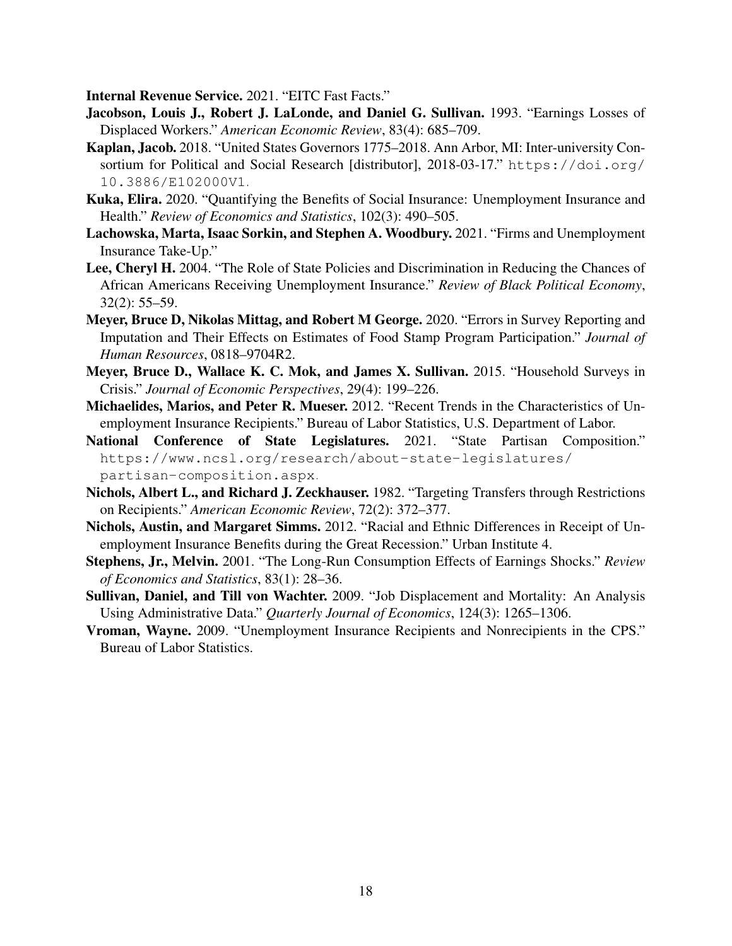<span id="page-19-12"></span>Internal Revenue Service. 2021. "EITC Fast Facts."

- <span id="page-19-0"></span>Jacobson, Louis J., Robert J. LaLonde, and Daniel G. Sullivan. 1993. "Earnings Losses of Displaced Workers." *American Economic Review*, 83(4): 685–709.
- <span id="page-19-9"></span>Kaplan, Jacob. 2018. "United States Governors 1775–2018. Ann Arbor, MI: Inter-university Consortium for Political and Social Research [distributor], 2018-03-17." [https://doi.org/](https://doi.org/10.3886/E102000V1) [10.3886/E102000V1](https://doi.org/10.3886/E102000V1).
- <span id="page-19-7"></span>Kuka, Elira. 2020. "Quantifying the Benefits of Social Insurance: Unemployment Insurance and Health." *Review of Economics and Statistics*, 102(3): 490–505.
- <span id="page-19-11"></span>Lachowska, Marta, Isaac Sorkin, and Stephen A. Woodbury. 2021. "Firms and Unemployment Insurance Take-Up."
- <span id="page-19-4"></span>Lee, Cheryl H. 2004. "The Role of State Policies and Discrimination in Reducing the Chances of African Americans Receiving Unemployment Insurance." *Review of Black Political Economy*, 32(2): 55–59.
- <span id="page-19-8"></span>Meyer, Bruce D, Nikolas Mittag, and Robert M George. 2020. "Errors in Survey Reporting and Imputation and Their Effects on Estimates of Food Stamp Program Participation." *Journal of Human Resources*, 0818–9704R2.
- <span id="page-19-13"></span>Meyer, Bruce D., Wallace K. C. Mok, and James X. Sullivan. 2015. "Household Surveys in Crisis." *Journal of Economic Perspectives*, 29(4): 199–226.
- <span id="page-19-6"></span>Michaelides, Marios, and Peter R. Mueser. 2012. "Recent Trends in the Characteristics of Unemployment Insurance Recipients." Bureau of Labor Statistics, U.S. Department of Labor.
- <span id="page-19-10"></span>National Conference of State Legislatures. 2021. "State Partisan Composition." [https://www.ncsl.org/research/about-state-legislatures/](https://www.ncsl.org/research/about-state-legislatures/partisan-composition.aspx) [partisan-composition.aspx](https://www.ncsl.org/research/about-state-legislatures/partisan-composition.aspx).
- <span id="page-19-3"></span>Nichols, Albert L., and Richard J. Zeckhauser. 1982. "Targeting Transfers through Restrictions on Recipients." *American Economic Review*, 72(2): 372–377.
- <span id="page-19-5"></span>Nichols, Austin, and Margaret Simms. 2012. "Racial and Ethnic Differences in Receipt of Unemployment Insurance Benefits during the Great Recession." Urban Institute 4.
- <span id="page-19-1"></span>Stephens, Jr., Melvin. 2001. "The Long-Run Consumption Effects of Earnings Shocks." *Review of Economics and Statistics*, 83(1): 28–36.
- <span id="page-19-2"></span>Sullivan, Daniel, and Till von Wachter. 2009. "Job Displacement and Mortality: An Analysis Using Administrative Data." *Quarterly Journal of Economics*, 124(3): 1265–1306.
- <span id="page-19-14"></span>Vroman, Wayne. 2009. "Unemployment Insurance Recipients and Nonrecipients in the CPS." Bureau of Labor Statistics.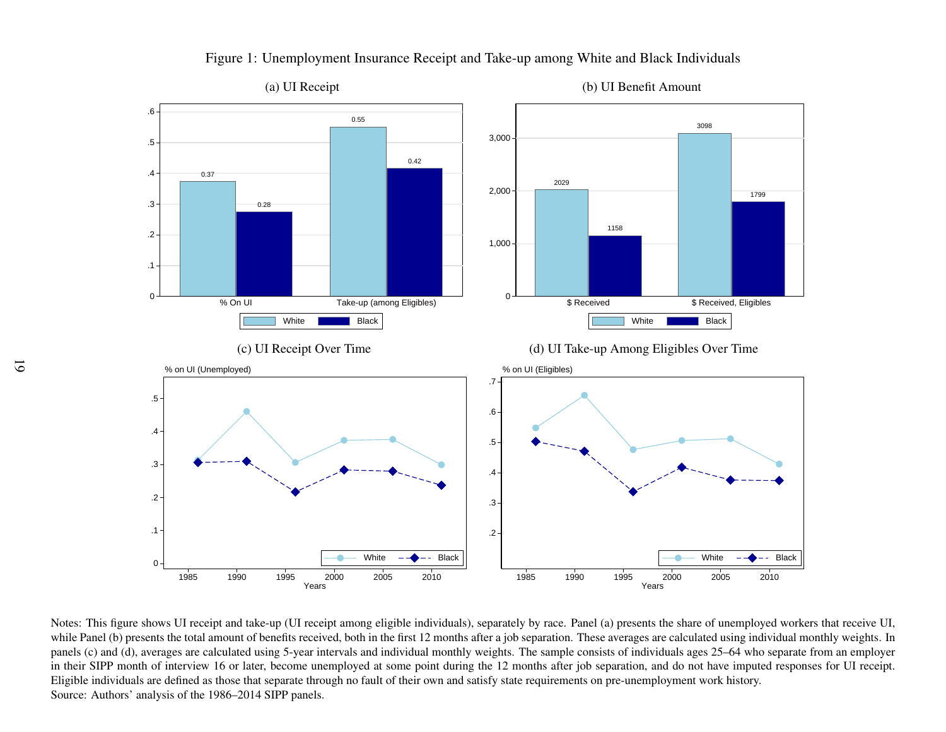

Figure 1: Unemployment Insurance Receipt and Take-up among White and Black Individuals

while Panel (b) presents the total amount of benefits received, both in the first 12 months after a job separation. These averages are calculated using individual monthly weights. In Eligible individuals are defined as those that separate through no fault of their own and satisfy state requirements on pre-unemployment work history. panels (c) and (d), averages are calculated using 5-year intervals and individual monthly weights. The sample consists of individuals ages 25–64 who separate from an employer Notes: This figure shows UI receipt and take-up (UI receipt among eligible individuals), separately by race. Panel (a) presents the share of unemployed workers that receive UI, in their SIPP month of interview 16 or later, become unemployed at some point during the 12 months after job separation, and do not have imputed responses for UI receipt. 1990 1995 2000 2005 2010 Source: Authors' analysis of the 1986–2014 SIPP panels.<sup>1990</sup> <sup>1995</sup> <sup>2000</sup> <sup>2005</sup> <sup>2010</sup><br><sup>Years</sup> <sup>2000</sup> <sup>2005</sup> <sup>2010</sup><br>by race. Panel (a) presents the share of unemployed<br>paration. These averages are calculated using individues<br>ample consists of individuals ages 25–64 who see<br>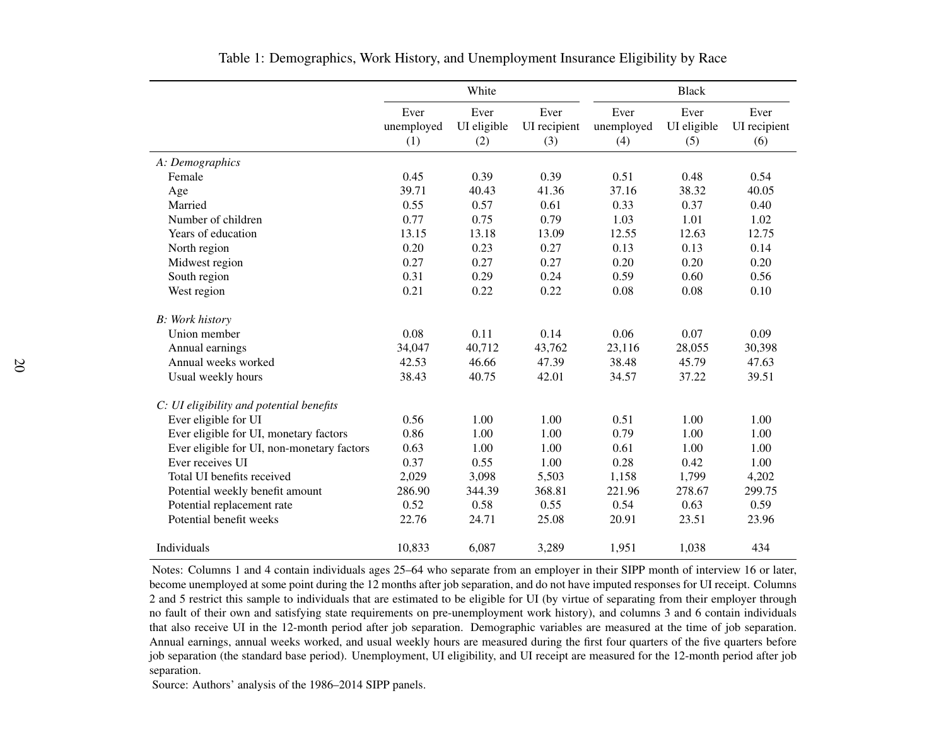|                                            |                           | White                      |                             |                           | <b>Black</b>               |                             |
|--------------------------------------------|---------------------------|----------------------------|-----------------------------|---------------------------|----------------------------|-----------------------------|
|                                            | Ever<br>unemployed<br>(1) | Ever<br>UI eligible<br>(2) | Ever<br>UI recipient<br>(3) | Ever<br>unemployed<br>(4) | Ever<br>UI eligible<br>(5) | Ever<br>UI recipient<br>(6) |
| A: Demographics                            |                           |                            |                             |                           |                            |                             |
| Female                                     | 0.45                      | 0.39                       | 0.39                        | 0.51                      | 0.48                       | 0.54                        |
| Age                                        | 39.71                     | 40.43                      | 41.36                       | 37.16                     | 38.32                      | 40.05                       |
| Married                                    | 0.55                      | 0.57                       | 0.61                        | 0.33                      | 0.37                       | 0.40                        |
| Number of children                         | 0.77                      | 0.75                       | 0.79                        | 1.03                      | 1.01                       | 1.02                        |
| Years of education                         | 13.15                     | 13.18                      | 13.09                       | 12.55                     | 12.63                      | 12.75                       |
| North region                               | 0.20                      | 0.23                       | 0.27                        | 0.13                      | 0.13                       | 0.14                        |
| Midwest region                             | 0.27                      | 0.27                       | 0.27                        | 0.20                      | 0.20                       | 0.20                        |
| South region                               | 0.31                      | 0.29                       | 0.24                        | 0.59                      | 0.60                       | 0.56                        |
| West region                                | 0.21                      | 0.22                       | 0.22                        | 0.08                      | 0.08                       | 0.10                        |
| <b>B</b> : Work history                    |                           |                            |                             |                           |                            |                             |
| Union member                               | 0.08                      | 0.11                       | 0.14                        | 0.06                      | 0.07                       | 0.09                        |
| Annual earnings                            | 34,047                    | 40,712                     | 43,762                      | 23,116                    | 28,055                     | 30,398                      |
| Annual weeks worked                        | 42.53                     | 46.66                      | 47.39                       | 38.48                     | 45.79                      | 47.63                       |
| Usual weekly hours                         | 38.43                     | 40.75                      | 42.01                       | 34.57                     | 37.22                      | 39.51                       |
| C: UI eligibility and potential benefits   |                           |                            |                             |                           |                            |                             |
| Ever eligible for UI                       | 0.56                      | 1.00                       | 1.00                        | 0.51                      | 1.00                       | 1.00                        |
| Ever eligible for UI, monetary factors     | 0.86                      | 1.00                       | 1.00                        | 0.79                      | 1.00                       | 1.00                        |
| Ever eligible for UI, non-monetary factors | 0.63                      | 1.00                       | 1.00                        | 0.61                      | 1.00                       | 1.00                        |
| Ever receives UI                           | 0.37                      | 0.55                       | 1.00                        | 0.28                      | 0.42                       | 1.00                        |
| Total UI benefits received                 | 2,029                     | 3,098                      | 5,503                       | 1,158                     | 1,799                      | 4,202                       |
| Potential weekly benefit amount            | 286.90                    | 344.39                     | 368.81                      | 221.96                    | 278.67                     | 299.75                      |
| Potential replacement rate                 | 0.52                      | 0.58                       | 0.55                        | 0.54                      | 0.63                       | 0.59                        |
| Potential benefit weeks                    | 22.76                     | 24.71                      | 25.08                       | 20.91                     | 23.51                      | 23.96                       |
| Individuals                                | 10,833                    | 6,087                      | 3,289                       | 1,951                     | 1,038                      | 434                         |

Table 1: Demographics, Work History, and Unemployment Insurance Eligibility by Race

Notes: Columns 1 and 4 contain individuals ages 25–64 who separate from an employer in their SIPP month of interview 16 or later, become unemployed at some point during the 12 months after job separation, and do not have imputed responses for UI receipt. Columns 2 and 5 restrict this sample to individuals that are estimated to be eligible for UI (by virtue of separating from their employer through no fault of their own and satisfying state requirements on pre-unemployment work history), and columns 3 and 6 contain individuals that also receive UI in the 12-month period after job separation. Demographic variables are measured at the time of job separation. Annual earnings, annual weeks worked, and usual weekly hours are measured during the first four quarters of the five quarters before job separation (the standard base period). Unemployment, UI eligibility, and UI receipt are measured for the 12-month period after jobseparation.

Source: Authors' analysis of the 1986–2014 SIPP panels.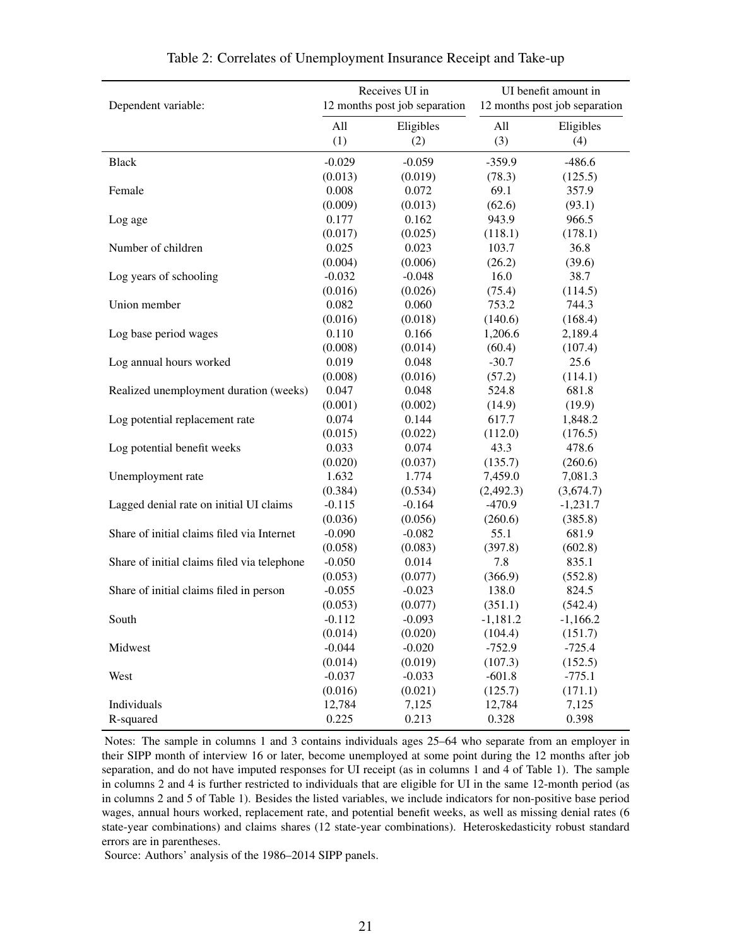|                                             |          | Receives UI in                | UI benefit amount in |                               |  |  |
|---------------------------------------------|----------|-------------------------------|----------------------|-------------------------------|--|--|
| Dependent variable:                         |          | 12 months post job separation |                      | 12 months post job separation |  |  |
|                                             |          |                               |                      |                               |  |  |
|                                             | All      | Eligibles                     | All                  | Eligibles                     |  |  |
|                                             | (1)      | (2)                           | (3)                  | (4)                           |  |  |
| Black                                       | $-0.029$ | $-0.059$                      | $-359.9$             | $-486.6$                      |  |  |
|                                             | (0.013)  | (0.019)                       | (78.3)               | (125.5)                       |  |  |
| Female                                      | 0.008    | 0.072                         | 69.1                 | 357.9                         |  |  |
|                                             | (0.009)  | (0.013)                       | (62.6)               | (93.1)                        |  |  |
| Log age                                     | 0.177    | 0.162                         | 943.9                | 966.5                         |  |  |
|                                             | (0.017)  | (0.025)                       | (118.1)              | (178.1)                       |  |  |
| Number of children                          | 0.025    | 0.023                         | 103.7                | 36.8                          |  |  |
|                                             | (0.004)  | (0.006)                       | (26.2)               | (39.6)                        |  |  |
| Log years of schooling                      | $-0.032$ | $-0.048$                      | 16.0                 | 38.7                          |  |  |
|                                             | (0.016)  | (0.026)                       | (75.4)               | (114.5)                       |  |  |
| Union member                                | 0.082    | 0.060                         | 753.2                | 744.3                         |  |  |
|                                             | (0.016)  | (0.018)                       | (140.6)              | (168.4)                       |  |  |
| Log base period wages                       | 0.110    | 0.166                         | 1,206.6              | 2,189.4                       |  |  |
|                                             | (0.008)  | (0.014)                       | (60.4)               | (107.4)                       |  |  |
| Log annual hours worked                     | 0.019    | 0.048                         | $-30.7$              | 25.6                          |  |  |
|                                             | (0.008)  | (0.016)                       | (57.2)               | (114.1)                       |  |  |
| Realized unemployment duration (weeks)      | 0.047    | 0.048                         | 524.8                | 681.8                         |  |  |
|                                             | (0.001)  | (0.002)                       | (14.9)               | (19.9)                        |  |  |
| Log potential replacement rate              | 0.074    | 0.144                         | 617.7                | 1,848.2                       |  |  |
|                                             | (0.015)  | (0.022)                       | (112.0)              | (176.5)                       |  |  |
| Log potential benefit weeks                 | 0.033    | 0.074                         | 43.3                 | 478.6                         |  |  |
|                                             | (0.020)  | (0.037)                       | (135.7)              | (260.6)                       |  |  |
| Unemployment rate                           | 1.632    | 1.774                         | 7,459.0              | 7,081.3                       |  |  |
|                                             | (0.384)  | (0.534)                       | (2,492.3)            | (3,674.7)                     |  |  |
| Lagged denial rate on initial UI claims     | $-0.115$ | $-0.164$                      | $-470.9$             | $-1,231.7$                    |  |  |
|                                             | (0.036)  | (0.056)                       | (260.6)              | (385.8)                       |  |  |
| Share of initial claims filed via Internet  | $-0.090$ | $-0.082$                      | 55.1                 | 681.9                         |  |  |
|                                             | (0.058)  | (0.083)                       | (397.8)              | (602.8)                       |  |  |
| Share of initial claims filed via telephone | $-0.050$ | 0.014                         | 7.8                  | 835.1                         |  |  |
|                                             | (0.053)  | (0.077)                       | (366.9)              | (552.8)                       |  |  |
| Share of initial claims filed in person     | $-0.055$ | $-0.023$                      | 138.0                | 824.5                         |  |  |
|                                             | (0.053)  | (0.077)                       | (351.1)              | (542.4)                       |  |  |
| South                                       | $-0.112$ | $-0.093$                      | $-1,181.2$           | $-1,166.2$                    |  |  |
|                                             | (0.014)  | (0.020)                       | (104.4)              | (151.7)                       |  |  |
| Midwest                                     | $-0.044$ | $-0.020$                      | $-752.9$             | $-725.4$                      |  |  |
|                                             | (0.014)  | (0.019)                       | (107.3)              | (152.5)                       |  |  |
| West                                        | $-0.037$ | $-0.033$                      | $-601.8$             | $-775.1$                      |  |  |
|                                             | (0.016)  | (0.021)                       | (125.7)              | (171.1)                       |  |  |
| Individuals                                 | 12,784   | 7,125                         | 12,784               | 7,125                         |  |  |
| R-squared                                   | 0.225    | 0.213                         | 0.328                | 0.398                         |  |  |

Table 2: Correlates of Unemployment Insurance Receipt and Take-up

Notes: The sample in columns 1 and 3 contains individuals ages 25–64 who separate from an employer in their SIPP month of interview 16 or later, become unemployed at some point during the 12 months after job separation, and do not have imputed responses for UI receipt (as in columns 1 and 4 of Table 1). The sample in columns 2 and 4 is further restricted to individuals that are eligible for UI in the same 12-month period (as in columns 2 and 5 of Table 1). Besides the listed variables, we include indicators for non-positive base period wages, annual hours worked, replacement rate, and potential benefit weeks, as well as missing denial rates (6 state-year combinations) and claims shares (12 state-year combinations). Heteroskedasticity robust standard errors are in parentheses.

Source: Authors' analysis of the 1986–2014 SIPP panels.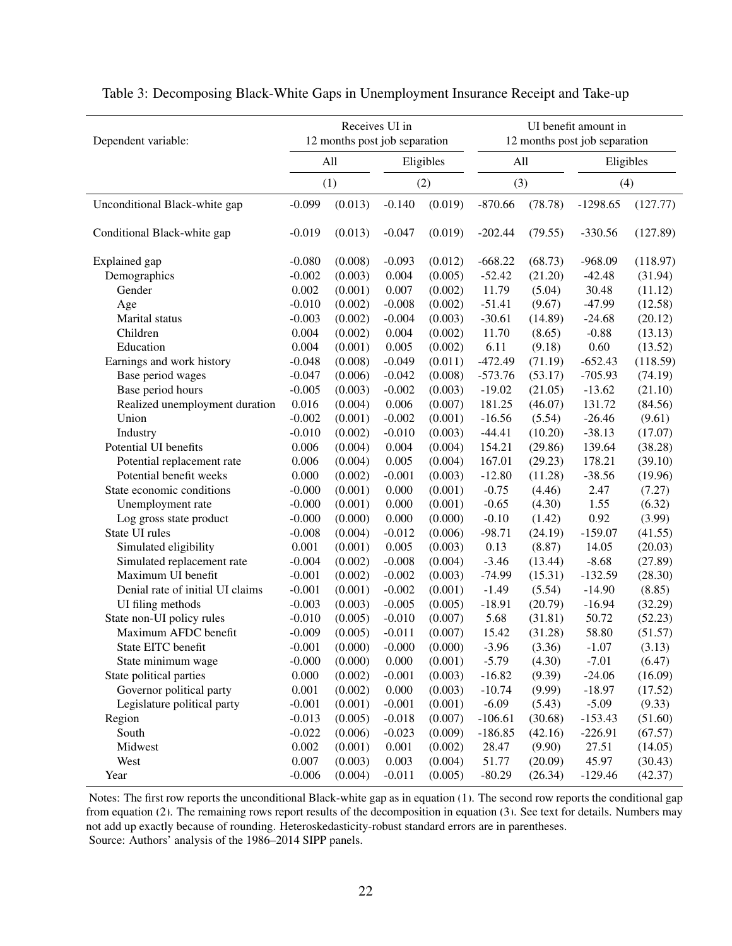| Dependent variable:              | Receives UI in<br>12 months post job separation |         |          |           |           |         | UI benefit amount in<br>12 months post job separation |          |  |
|----------------------------------|-------------------------------------------------|---------|----------|-----------|-----------|---------|-------------------------------------------------------|----------|--|
|                                  | All                                             |         |          | Eligibles | All       |         | Eligibles                                             |          |  |
|                                  | (1)                                             |         |          | (2)       |           | (3)     |                                                       | (4)      |  |
| Unconditional Black-white gap    | $-0.099$                                        | (0.013) | $-0.140$ | (0.019)   | $-870.66$ | (78.78) | $-1298.65$                                            | (127.77) |  |
| Conditional Black-white gap      | $-0.019$                                        | (0.013) | $-0.047$ | (0.019)   | $-202.44$ | (79.55) | $-330.56$                                             | (127.89) |  |
| Explained gap                    | $-0.080$                                        | (0.008) | $-0.093$ | (0.012)   | $-668.22$ | (68.73) | $-968.09$                                             | (118.97) |  |
| Demographics                     | $-0.002$                                        | (0.003) | 0.004    | (0.005)   | $-52.42$  | (21.20) | $-42.48$                                              | (31.94)  |  |
| Gender                           | 0.002                                           | (0.001) | 0.007    | (0.002)   | 11.79     | (5.04)  | 30.48                                                 | (11.12)  |  |
| Age                              | $-0.010$                                        | (0.002) | $-0.008$ | (0.002)   | $-51.41$  | (9.67)  | $-47.99$                                              | (12.58)  |  |
| Marital status                   | $-0.003$                                        | (0.002) | $-0.004$ | (0.003)   | $-30.61$  | (14.89) | $-24.68$                                              | (20.12)  |  |
| Children                         | 0.004                                           | (0.002) | 0.004    | (0.002)   | 11.70     | (8.65)  | $-0.88$                                               | (13.13)  |  |
| Education                        | 0.004                                           | (0.001) | 0.005    | (0.002)   | 6.11      | (9.18)  | 0.60                                                  | (13.52)  |  |
| Earnings and work history        | $-0.048$                                        | (0.008) | $-0.049$ | (0.011)   | $-472.49$ | (71.19) | $-652.43$                                             | (118.59) |  |
| Base period wages                | $-0.047$                                        | (0.006) | $-0.042$ | (0.008)   | $-573.76$ | (53.17) | $-705.93$                                             | (74.19)  |  |
| Base period hours                | $-0.005$                                        | (0.003) | $-0.002$ | (0.003)   | $-19.02$  | (21.05) | $-13.62$                                              | (21.10)  |  |
| Realized unemployment duration   | 0.016                                           | (0.004) | 0.006    | (0.007)   | 181.25    | (46.07) | 131.72                                                | (84.56)  |  |
| Union                            | $-0.002$                                        | (0.001) | $-0.002$ | (0.001)   | $-16.56$  | (5.54)  | $-26.46$                                              | (9.61)   |  |
| Industry                         | $-0.010$                                        | (0.002) | $-0.010$ | (0.003)   | $-44.41$  | (10.20) | $-38.13$                                              | (17.07)  |  |
| Potential UI benefits            | 0.006                                           | (0.004) | 0.004    | (0.004)   | 154.21    | (29.86) | 139.64                                                | (38.28)  |  |
| Potential replacement rate       | 0.006                                           | (0.004) | 0.005    | (0.004)   | 167.01    | (29.23) | 178.21                                                | (39.10)  |  |
| Potential benefit weeks          | 0.000                                           | (0.002) | $-0.001$ | (0.003)   | $-12.80$  | (11.28) | $-38.56$                                              | (19.96)  |  |
| State economic conditions        | $-0.000$                                        | (0.001) | 0.000    | (0.001)   | $-0.75$   | (4.46)  | 2.47                                                  | (7.27)   |  |
| Unemployment rate                | $-0.000$                                        | (0.001) | 0.000    | (0.001)   | $-0.65$   | (4.30)  | 1.55                                                  | (6.32)   |  |
| Log gross state product          | $-0.000$                                        | (0.000) | 0.000    | (0.000)   | $-0.10$   | (1.42)  | 0.92                                                  | (3.99)   |  |
| State UI rules                   | $-0.008$                                        | (0.004) | $-0.012$ | (0.006)   | $-98.71$  | (24.19) | $-159.07$                                             | (41.55)  |  |
| Simulated eligibility            | 0.001                                           | (0.001) | 0.005    | (0.003)   | 0.13      | (8.87)  | 14.05                                                 | (20.03)  |  |
| Simulated replacement rate       | $-0.004$                                        | (0.002) | $-0.008$ | (0.004)   | $-3.46$   | (13.44) | $-8.68$                                               | (27.89)  |  |
| Maximum UI benefit               | $-0.001$                                        | (0.002) | $-0.002$ | (0.003)   | $-74.99$  | (15.31) | $-132.59$                                             | (28.30)  |  |
| Denial rate of initial UI claims | $-0.001$                                        | (0.001) | $-0.002$ | (0.001)   | $-1.49$   | (5.54)  | $-14.90$                                              | (8.85)   |  |
| UI filing methods                | $-0.003$                                        | (0.003) | $-0.005$ | (0.005)   | $-18.91$  | (20.79) | $-16.94$                                              | (32.29)  |  |
| State non-UI policy rules        | $-0.010$                                        | (0.005) | $-0.010$ | (0.007)   | 5.68      | (31.81) | 50.72                                                 | (52.23)  |  |
| Maximum AFDC benefit             | $-0.009$                                        | (0.005) | $-0.011$ | (0.007)   | 15.42     | (31.28) | 58.80                                                 | (51.57)  |  |
| State EITC benefit               | $-0.001$                                        | (0.000) | $-0.000$ | (0.000)   | $-3.96$   | (3.36)  | $-1.07$                                               | (3.13)   |  |
| State minimum wage               | $-0.000$                                        | (0.000) | 0.000    | (0.001)   | $-5.79$   | (4.30)  | $-7.01$                                               | (6.47)   |  |
| State political parties          | 0.000                                           | (0.002) | $-0.001$ | (0.003)   | $-16.82$  | (9.39)  | $-24.06$                                              | (16.09)  |  |
| Governor political party         | 0.001                                           | (0.002) | 0.000    | (0.003)   | $-10.74$  | (9.99)  | $-18.97$                                              | (17.52)  |  |
| Legislature political party      | $-0.001$                                        | (0.001) | $-0.001$ | (0.001)   | $-6.09$   | (5.43)  | $-5.09$                                               | (9.33)   |  |
| Region                           | $-0.013$                                        | (0.005) | $-0.018$ | (0.007)   | $-106.61$ | (30.68) | $-153.43$                                             | (51.60)  |  |
| South                            | $-0.022$                                        | (0.006) | $-0.023$ | (0.009)   | $-186.85$ | (42.16) | $-226.91$                                             | (67.57)  |  |
| Midwest                          | 0.002                                           | (0.001) | 0.001    | (0.002)   | 28.47     | (9.90)  | 27.51                                                 | (14.05)  |  |
| West                             | 0.007                                           | (0.003) | 0.003    | (0.004)   | 51.77     | (20.09) | 45.97                                                 | (30.43)  |  |
| Year                             | $-0.006$                                        | (0.004) | $-0.011$ | (0.005)   | $-80.29$  | (26.34) | $-129.46$                                             | (42.37)  |  |

Table 3: Decomposing Black-White Gaps in Unemployment Insurance Receipt and Take-up

Notes: The first row reports the unconditional Black-white gap as in equation [\(1\)](#page-8-0). The second row reports the conditional gap from equation [\(2\)](#page-9-0). The remaining rows report results of the decomposition in equation [\(3\)](#page-9-1). See text for details. Numbers may not add up exactly because of rounding. Heteroskedasticity-robust standard errors are in parentheses. Source: Authors' analysis of the 1986–2014 SIPP panels.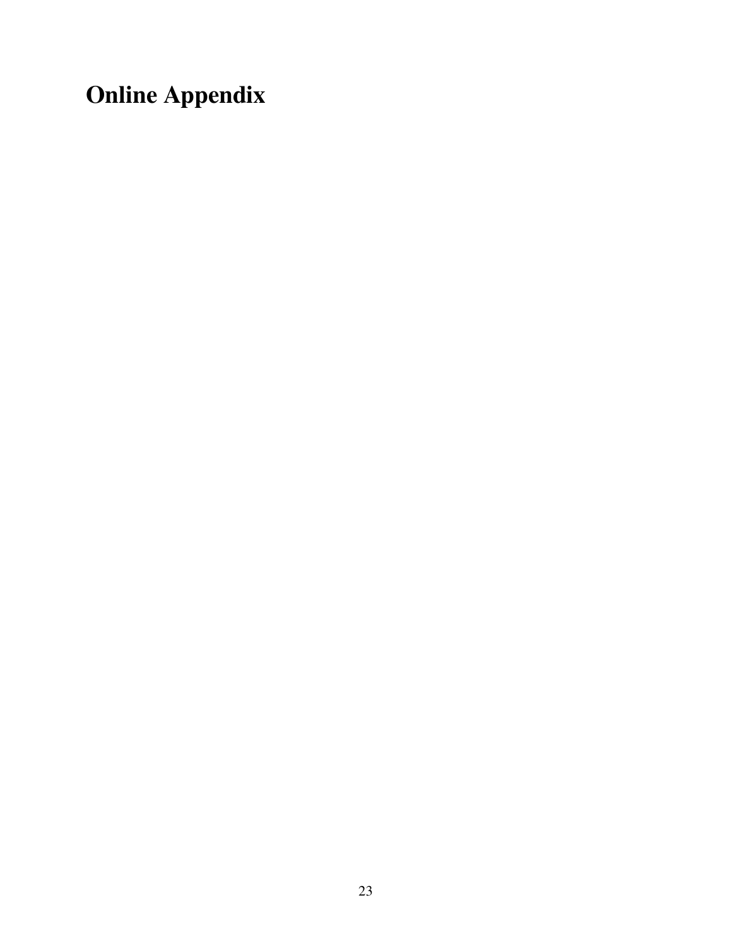## Online Appendix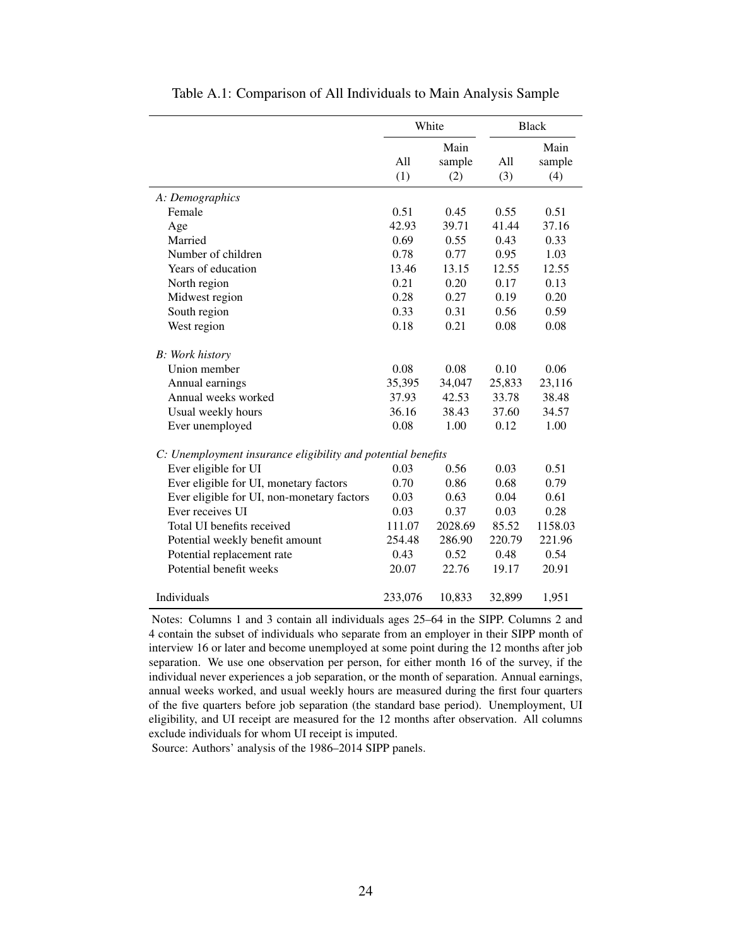<span id="page-25-0"></span>

|                                                              | White   |         | <b>Black</b> |         |  |
|--------------------------------------------------------------|---------|---------|--------------|---------|--|
|                                                              |         | Main    |              | Main    |  |
|                                                              | A11     | sample  | All          | sample  |  |
|                                                              | (1)     | (2)     | (3)          | (4)     |  |
| A: Demographics                                              |         |         |              |         |  |
| Female                                                       | 0.51    | 0.45    | 0.55         | 0.51    |  |
| Age                                                          | 42.93   | 39.71   | 41.44        | 37.16   |  |
| Married                                                      | 0.69    | 0.55    | 0.43         | 0.33    |  |
| Number of children                                           | 0.78    | 0.77    | 0.95         | 1.03    |  |
| Years of education                                           | 13.46   | 13.15   | 12.55        | 12.55   |  |
| North region                                                 | 0.21    | 0.20    | 0.17         | 0.13    |  |
| Midwest region                                               | 0.28    | 0.27    | 0.19         | 0.20    |  |
| South region                                                 | 0.33    | 0.31    | 0.56         | 0.59    |  |
| West region                                                  | 0.18    | 0.21    | 0.08         | 0.08    |  |
| <b>B</b> : Work history                                      |         |         |              |         |  |
| Union member                                                 | 0.08    | 0.08    | 0.10         | 0.06    |  |
| Annual earnings                                              | 35,395  | 34,047  | 25,833       | 23,116  |  |
| Annual weeks worked                                          | 37.93   | 42.53   | 33.78        | 38.48   |  |
| Usual weekly hours                                           | 36.16   | 38.43   | 37.60        | 34.57   |  |
| Ever unemployed                                              | 0.08    | 1.00    | 0.12         | 1.00    |  |
| C: Unemployment insurance eligibility and potential benefits |         |         |              |         |  |
| Ever eligible for UI                                         | 0.03    | 0.56    | 0.03         | 0.51    |  |
| Ever eligible for UI, monetary factors                       | 0.70    | 0.86    | 0.68         | 0.79    |  |
| Ever eligible for UI, non-monetary factors                   | 0.03    | 0.63    | 0.04         | 0.61    |  |
| Ever receives UI                                             | 0.03    | 0.37    | 0.03         | 0.28    |  |
| Total UI benefits received                                   | 111.07  | 2028.69 | 85.52        | 1158.03 |  |
| Potential weekly benefit amount                              | 254.48  | 286.90  | 220.79       | 221.96  |  |
| Potential replacement rate                                   | 0.43    | 0.52    | 0.48         | 0.54    |  |
| Potential benefit weeks                                      | 20.07   | 22.76   | 19.17        | 20.91   |  |
| Individuals                                                  | 233,076 | 10,833  | 32,899       | 1,951   |  |

Table A.1: Comparison of All Individuals to Main Analysis Sample

Notes: Columns 1 and 3 contain all individuals ages 25–64 in the SIPP. Columns 2 and 4 contain the subset of individuals who separate from an employer in their SIPP month of interview 16 or later and become unemployed at some point during the 12 months after job separation. We use one observation per person, for either month 16 of the survey, if the individual never experiences a job separation, or the month of separation. Annual earnings, annual weeks worked, and usual weekly hours are measured during the first four quarters of the five quarters before job separation (the standard base period). Unemployment, UI eligibility, and UI receipt are measured for the 12 months after observation. All columns exclude individuals for whom UI receipt is imputed.

Source: Authors' analysis of the 1986–2014 SIPP panels.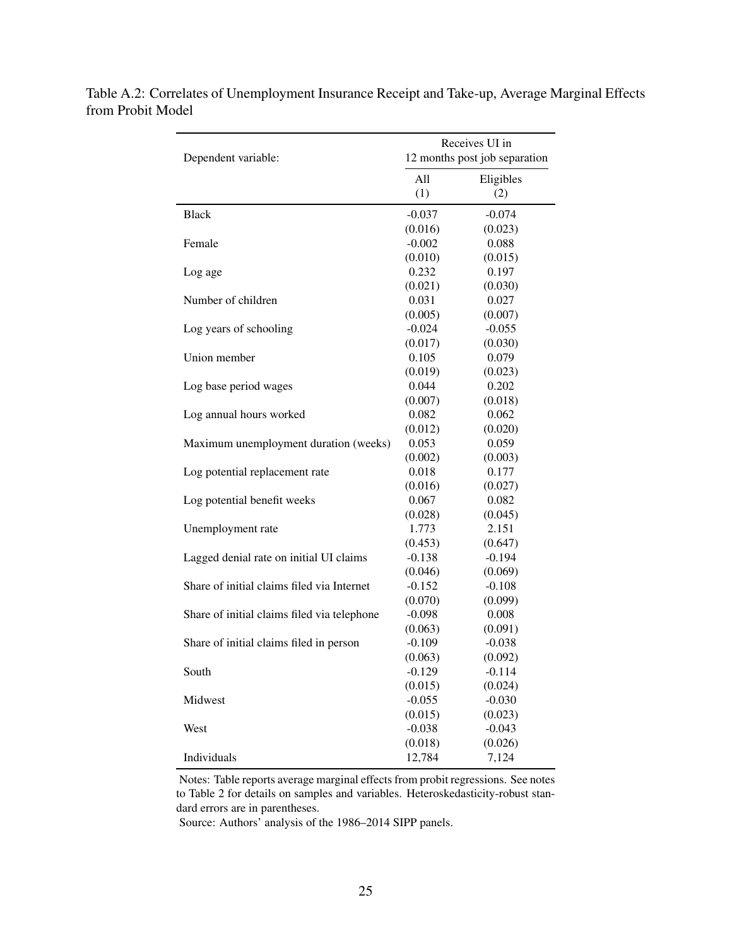| Dependent variable:                         |          | Receives UI in<br>12 months post job separation |
|---------------------------------------------|----------|-------------------------------------------------|
|                                             |          |                                                 |
|                                             | All      | Eligibles                                       |
|                                             | (1)      | (2)                                             |
| <b>Black</b>                                | $-0.037$ | $-0.074$                                        |
|                                             | (0.016)  | (0.023)                                         |
| Female                                      | $-0.002$ | 0.088                                           |
|                                             | (0.010)  | (0.015)                                         |
| Log age                                     | 0.232    | 0.197                                           |
|                                             | (0.021)  | (0.030)                                         |
| Number of children                          | 0.031    | 0.027                                           |
|                                             | (0.005)  | (0.007)                                         |
| Log years of schooling                      | $-0.024$ | $-0.055$                                        |
|                                             | (0.017)  | (0.030)                                         |
| Union member                                | 0.105    | 0.079                                           |
|                                             | (0.019)  | (0.023)                                         |
| Log base period wages                       | 0.044    | 0.202                                           |
|                                             | (0.007)  | (0.018)                                         |
| Log annual hours worked                     | 0.082    | 0.062                                           |
|                                             | (0.012)  | (0.020)                                         |
| Maximum unemployment duration (weeks)       | 0.053    | 0.059                                           |
|                                             | (0.002)  | (0.003)                                         |
| Log potential replacement rate              | 0.018    | 0.177                                           |
|                                             | (0.016)  | (0.027)                                         |
| Log potential benefit weeks                 | 0.067    | 0.082                                           |
|                                             | (0.028)  | (0.045)                                         |
| Unemployment rate                           | 1.773    | 2.151                                           |
|                                             | (0.453)  | (0.647)                                         |
| Lagged denial rate on initial UI claims     | $-0.138$ | $-0.194$                                        |
|                                             | (0.046)  | (0.069)                                         |
| Share of initial claims filed via Internet  | $-0.152$ | $-0.108$                                        |
|                                             | (0.070)  | (0.099)                                         |
| Share of initial claims filed via telephone | $-0.098$ | 0.008                                           |
|                                             | (0.063)  | (0.091)                                         |
| Share of initial claims filed in person     | $-0.109$ | $-0.038$                                        |
|                                             | (0.063)  | (0.092)                                         |
| South                                       | $-0.129$ | $-0.114$                                        |
|                                             | (0.015)  | (0.024)                                         |
| Midwest                                     | $-0.055$ | $-0.030$                                        |
|                                             | (0.015)  | (0.023)                                         |
| West                                        | $-0.038$ | $-0.043$                                        |
|                                             | (0.018)  | (0.026)                                         |
| Individuals                                 | 12,784   | 7,124                                           |

<span id="page-26-0"></span>Table A.2: Correlates of Unemployment Insurance Receipt and Take-up, Average Marginal Effects from Probit Model

> Notes: Table reports average marginal effects from probit regressions. See notes to Table 2 for details on samples and variables. Heteroskedasticity-robust standard errors are in parentheses.

Source: Authors' analysis of the 1986–2014 SIPP panels.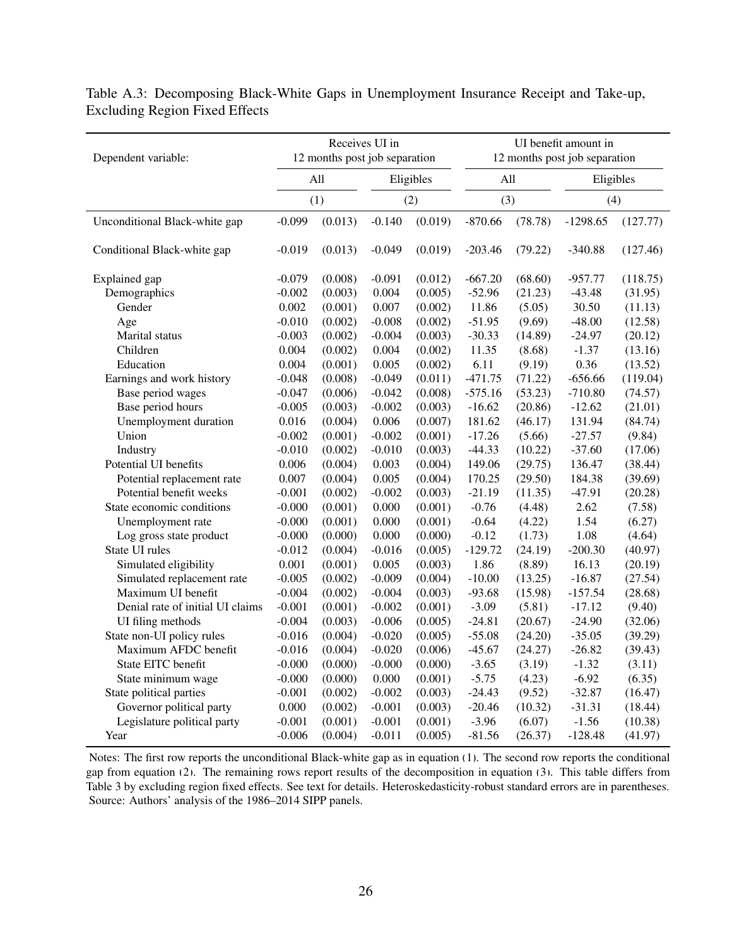<span id="page-27-0"></span>

| Dependent variable:              |          |         | Receives UI in | 12 months post job separation |           | UI benefit amount in<br>12 months post job separation |            |          |  |
|----------------------------------|----------|---------|----------------|-------------------------------|-----------|-------------------------------------------------------|------------|----------|--|
|                                  | All      |         |                | Eligibles                     | All       |                                                       | Eligibles  |          |  |
|                                  |          | (1)     |                | (2)                           |           | (3)                                                   |            | (4)      |  |
| Unconditional Black-white gap    | $-0.099$ | (0.013) | $-0.140$       | (0.019)                       | $-870.66$ | (78.78)                                               | $-1298.65$ | (127.77) |  |
| Conditional Black-white gap      | $-0.019$ | (0.013) | $-0.049$       | (0.019)                       | $-203.46$ | (79.22)                                               | $-340.88$  | (127.46) |  |
| Explained gap                    | $-0.079$ | (0.008) | $-0.091$       | (0.012)                       | $-667.20$ | (68.60)                                               | $-957.77$  | (118.75) |  |
| Demographics                     | $-0.002$ | (0.003) | 0.004          | (0.005)                       | $-52.96$  | (21.23)                                               | $-43.48$   | (31.95)  |  |
| Gender                           | 0.002    | (0.001) | 0.007          | (0.002)                       | 11.86     | (5.05)                                                | 30.50      | (11.13)  |  |
| Age                              | $-0.010$ | (0.002) | $-0.008$       | (0.002)                       | $-51.95$  | (9.69)                                                | $-48.00$   | (12.58)  |  |
| Marital status                   | $-0.003$ | (0.002) | $-0.004$       | (0.003)                       | $-30.33$  | (14.89)                                               | $-24.97$   | (20.12)  |  |
| Children                         | 0.004    | (0.002) | 0.004          | (0.002)                       | 11.35     | (8.68)                                                | $-1.37$    | (13.16)  |  |
| Education                        | 0.004    | (0.001) | 0.005          | (0.002)                       | 6.11      | (9.19)                                                | 0.36       | (13.52)  |  |
| Earnings and work history        | $-0.048$ | (0.008) | $-0.049$       | (0.011)                       | $-471.75$ | (71.22)                                               | $-656.66$  | (119.04) |  |
| Base period wages                | $-0.047$ | (0.006) | $-0.042$       | (0.008)                       | $-575.16$ | (53.23)                                               | $-710.80$  | (74.57)  |  |
| Base period hours                | $-0.005$ | (0.003) | $-0.002$       | (0.003)                       | $-16.62$  | (20.86)                                               | $-12.62$   | (21.01)  |  |
| Unemployment duration            | 0.016    | (0.004) | 0.006          | (0.007)                       | 181.62    | (46.17)                                               | 131.94     | (84.74)  |  |
| Union                            | $-0.002$ | (0.001) | $-0.002$       | (0.001)                       | $-17.26$  | (5.66)                                                | $-27.57$   | (9.84)   |  |
| Industry                         | $-0.010$ | (0.002) | $-0.010$       | (0.003)                       | $-44.33$  | (10.22)                                               | $-37.60$   | (17.06)  |  |
| Potential UI benefits            | 0.006    | (0.004) | 0.003          | (0.004)                       | 149.06    | (29.75)                                               | 136.47     | (38.44)  |  |
| Potential replacement rate       | 0.007    | (0.004) | 0.005          | (0.004)                       | 170.25    | (29.50)                                               | 184.38     | (39.69)  |  |
| Potential benefit weeks          | $-0.001$ | (0.002) | $-0.002$       | (0.003)                       | $-21.19$  | (11.35)                                               | $-47.91$   | (20.28)  |  |
| State economic conditions        | $-0.000$ | (0.001) | 0.000          | (0.001)                       | $-0.76$   | (4.48)                                                | 2.62       | (7.58)   |  |
| Unemployment rate                | $-0.000$ | (0.001) | 0.000          | (0.001)                       | $-0.64$   | (4.22)                                                | 1.54       | (6.27)   |  |
| Log gross state product          | $-0.000$ | (0.000) | 0.000          | (0.000)                       | $-0.12$   | (1.73)                                                | 1.08       | (4.64)   |  |
| State UI rules                   | $-0.012$ | (0.004) | $-0.016$       | (0.005)                       | $-129.72$ | (24.19)                                               | $-200.30$  | (40.97)  |  |
| Simulated eligibility            | 0.001    | (0.001) | 0.005          | (0.003)                       | 1.86      | (8.89)                                                | 16.13      | (20.19)  |  |
| Simulated replacement rate       | $-0.005$ | (0.002) | $-0.009$       | (0.004)                       | $-10.00$  | (13.25)                                               | $-16.87$   | (27.54)  |  |
| Maximum UI benefit               | $-0.004$ | (0.002) | $-0.004$       | (0.003)                       | $-93.68$  | (15.98)                                               | $-157.54$  | (28.68)  |  |
| Denial rate of initial UI claims | $-0.001$ | (0.001) | $-0.002$       | (0.001)                       | $-3.09$   | (5.81)                                                | $-17.12$   | (9.40)   |  |
| UI filing methods                | $-0.004$ | (0.003) | $-0.006$       | (0.005)                       | $-24.81$  | (20.67)                                               | $-24.90$   | (32.06)  |  |
| State non-UI policy rules        | $-0.016$ | (0.004) | $-0.020$       | (0.005)                       | $-55.08$  | (24.20)                                               | $-35.05$   | (39.29)  |  |
| Maximum AFDC benefit             | $-0.016$ | (0.004) | $-0.020$       | (0.006)                       | $-45.67$  | (24.27)                                               | $-26.82$   | (39.43)  |  |
| State EITC benefit               | $-0.000$ | (0.000) | $-0.000$       | (0.000)                       | $-3.65$   | (3.19)                                                | $-1.32$    | (3.11)   |  |
| State minimum wage               | $-0.000$ | (0.000) | 0.000          | (0.001)                       | $-5.75$   | (4.23)                                                | $-6.92$    | (6.35)   |  |
| State political parties          | $-0.001$ | (0.002) | $-0.002$       | (0.003)                       | $-24.43$  | (9.52)                                                | $-32.87$   | (16.47)  |  |
| Governor political party         | 0.000    | (0.002) | $-0.001$       | (0.003)                       | $-20.46$  | (10.32)                                               | $-31.31$   | (18.44)  |  |
| Legislature political party      | $-0.001$ | (0.001) | $-0.001$       | (0.001)                       | $-3.96$   | (6.07)                                                | $-1.56$    | (10.38)  |  |
| Year                             | $-0.006$ | (0.004) | $-0.011$       | (0.005)                       | $-81.56$  | (26.37)                                               | $-128.48$  | (41.97)  |  |

Table A.3: Decomposing Black-White Gaps in Unemployment Insurance Receipt and Take-up, Excluding Region Fixed Effects

Notes: The first row reports the unconditional Black-white gap as in equation [\(1\)](#page-8-0). The second row reports the conditional gap from equation [\(2\)](#page-9-0). The remaining rows report results of the decomposition in equation [\(3\)](#page-9-1). This table differs from Table 3 by excluding region fixed effects. See text for details. Heteroskedasticity-robust standard errors are in parentheses. Source: Authors' analysis of the 1986–2014 SIPP panels.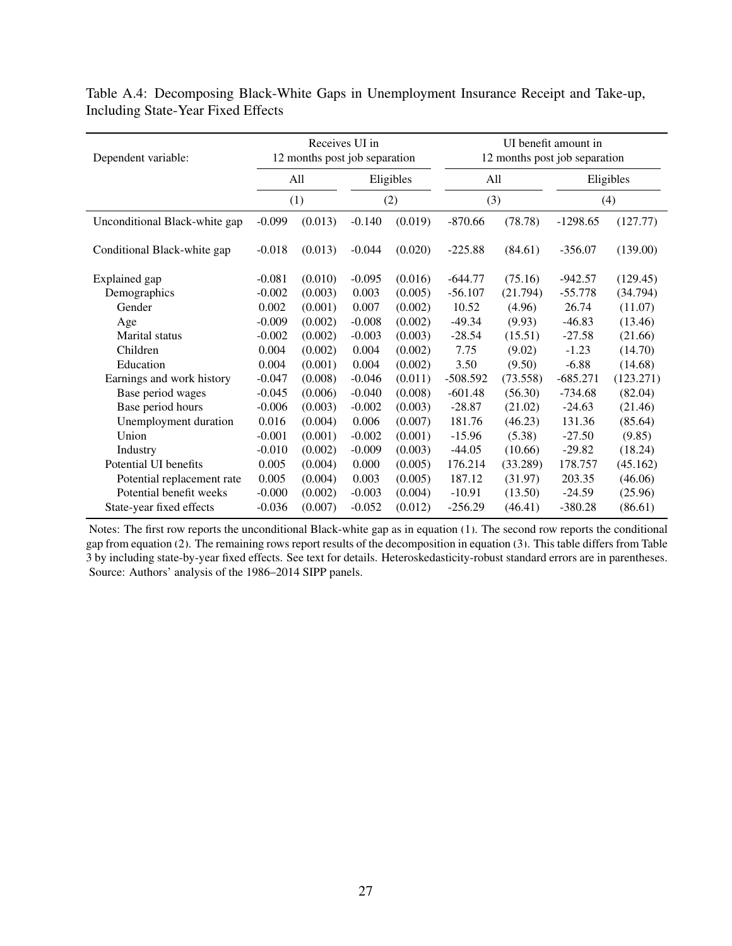<span id="page-28-0"></span>

| Dependent variable:           |          | Receives UI in<br>12 months post job separation |          |           |            | UI benefit amount in<br>12 months post job separation |            |           |  |  |
|-------------------------------|----------|-------------------------------------------------|----------|-----------|------------|-------------------------------------------------------|------------|-----------|--|--|
|                               |          | All                                             |          | Eligibles |            | All                                                   | Eligibles  |           |  |  |
|                               |          | (1)                                             |          | (2)       | (3)        |                                                       |            | (4)       |  |  |
| Unconditional Black-white gap | $-0.099$ | (0.013)                                         | $-0.140$ | (0.019)   | $-870.66$  | (78.78)                                               | $-1298.65$ | (127.77)  |  |  |
| Conditional Black-white gap   | $-0.018$ | (0.013)                                         | $-0.044$ | (0.020)   | $-225.88$  | (84.61)                                               | $-356.07$  | (139.00)  |  |  |
| Explained gap                 | $-0.081$ | (0.010)                                         | $-0.095$ | (0.016)   | $-644.77$  | (75.16)                                               | $-942.57$  | (129.45)  |  |  |
| Demographics                  | $-0.002$ | (0.003)                                         | 0.003    | (0.005)   | $-56.107$  | (21.794)                                              | $-55.778$  | (34.794)  |  |  |
| Gender                        | 0.002    | (0.001)                                         | 0.007    | (0.002)   | 10.52      | (4.96)                                                | 26.74      | (11.07)   |  |  |
| Age                           | $-0.009$ | (0.002)                                         | $-0.008$ | (0.002)   | $-49.34$   | (9.93)                                                | $-46.83$   | (13.46)   |  |  |
| <b>Marital</b> status         | $-0.002$ | (0.002)                                         | $-0.003$ | (0.003)   | $-28.54$   | (15.51)                                               | $-27.58$   | (21.66)   |  |  |
| Children                      | 0.004    | (0.002)                                         | 0.004    | (0.002)   | 7.75       | (9.02)                                                | $-1.23$    | (14.70)   |  |  |
| Education                     | 0.004    | (0.001)                                         | 0.004    | (0.002)   | 3.50       | (9.50)                                                | $-6.88$    | (14.68)   |  |  |
| Earnings and work history     | $-0.047$ | (0.008)                                         | $-0.046$ | (0.011)   | $-508.592$ | (73.558)                                              | $-685.271$ | (123.271) |  |  |
| Base period wages             | $-0.045$ | (0.006)                                         | $-0.040$ | (0.008)   | $-601.48$  | (56.30)                                               | $-734.68$  | (82.04)   |  |  |
| Base period hours             | $-0.006$ | (0.003)                                         | $-0.002$ | (0.003)   | $-28.87$   | (21.02)                                               | $-24.63$   | (21.46)   |  |  |
| Unemployment duration         | 0.016    | (0.004)                                         | 0.006    | (0.007)   | 181.76     | (46.23)                                               | 131.36     | (85.64)   |  |  |
| Union                         | $-0.001$ | (0.001)                                         | $-0.002$ | (0.001)   | $-15.96$   | (5.38)                                                | $-27.50$   | (9.85)    |  |  |
| Industry                      | $-0.010$ | (0.002)                                         | $-0.009$ | (0.003)   | $-44.05$   | (10.66)                                               | $-29.82$   | (18.24)   |  |  |
| Potential UI benefits         | 0.005    | (0.004)                                         | 0.000    | (0.005)   | 176.214    | (33.289)                                              | 178.757    | (45.162)  |  |  |
| Potential replacement rate    | 0.005    | (0.004)                                         | 0.003    | (0.005)   | 187.12     | (31.97)                                               | 203.35     | (46.06)   |  |  |
| Potential benefit weeks       | $-0.000$ | (0.002)                                         | $-0.003$ | (0.004)   | $-10.91$   | (13.50)                                               | $-24.59$   | (25.96)   |  |  |
| State-year fixed effects      | $-0.036$ | (0.007)                                         | $-0.052$ | (0.012)   | $-256.29$  | (46.41)                                               | $-380.28$  | (86.61)   |  |  |

Table A.4: Decomposing Black-White Gaps in Unemployment Insurance Receipt and Take-up, Including State-Year Fixed Effects

Notes: The first row reports the unconditional Black-white gap as in equation [\(1\)](#page-8-0). The second row reports the conditional gap from equation [\(2\)](#page-9-0). The remaining rows report results of the decomposition in equation [\(3\)](#page-9-1). This table differs from Table 3 by including state-by-year fixed effects. See text for details. Heteroskedasticity-robust standard errors are in parentheses. Source: Authors' analysis of the 1986–2014 SIPP panels.